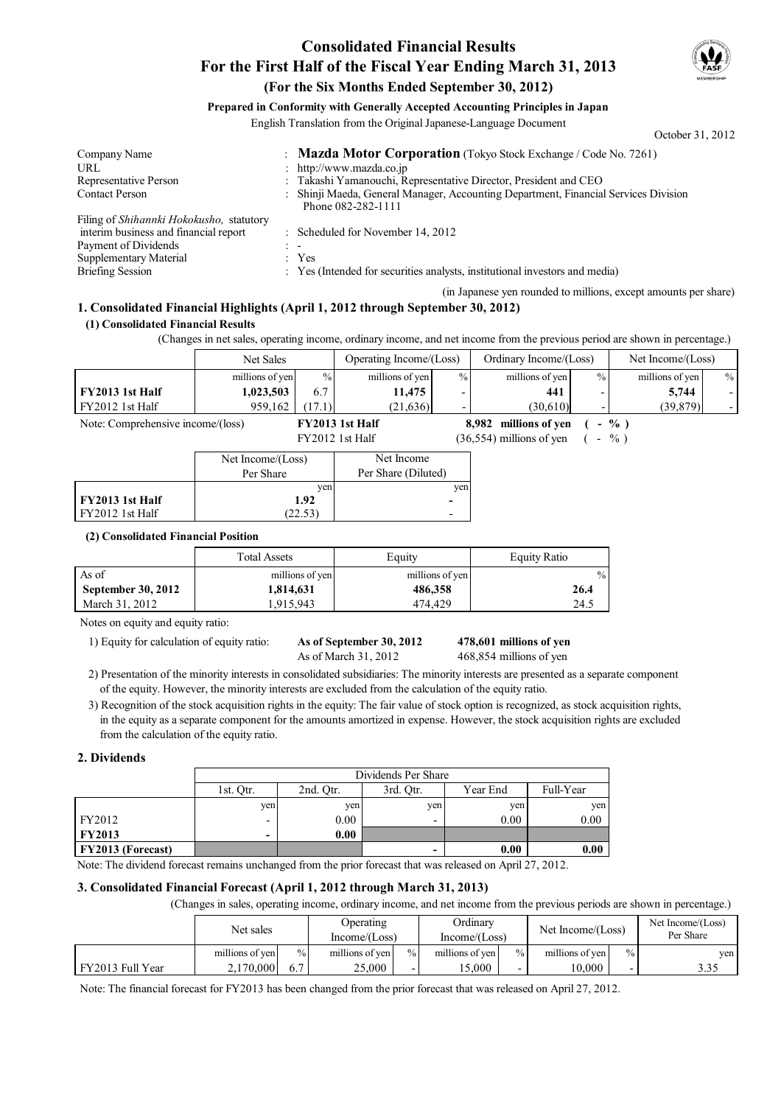# **Consolidated Financial Results For the First Half of the Fiscal Year Ending March 31, 2013 (For the Six Months Ended September 30, 2012)**



October 31, 2012

### **Prepared in Conformity with Generally Accepted Accounting Principles in Japan**

English Translation from the Original Japanese-Language Document

Company Name : **Mazda Motor Corporation** (Tokyo Stock Exchange / Code No. 7261)<br>
IIRL : http://www.mazda.co.in URL the state of the state of the state of the state of the state of the state of the state of the state of the state of the state of the state of the state of the state of the state of the state of the state of the state Representative Person : Takashi Yamanouchi, Representative Director, President and CEO Contact Person : Shinji Maeda, General Manager, Accounting Department, Financial Services Division Phone 082-282-1111 Filing of *Shihannki Hokokusho,* statutory interim business and financial report : Scheduled for November 14, 2012 Payment of Dividends Supplementary Material : Yes Briefing Session : Yes (Intended for securities analysts, institutional investors and media)

(in Japanese yen rounded to millions, except amounts per share)

# **1. Consolidated Financial Highlights (April 1, 2012 through September 30, 2012)**

#### **(1) Consolidated Financial Results**

(Changes in net sales, operating income, ordinary income, and net income from the previous period are shown in percentage.)

|                                   | <b>Net Sales</b> |        | Operating Income/(Loss) |               | Ordinary Income/(Loss) |                          | Net Income/(Loss) |               |
|-----------------------------------|------------------|--------|-------------------------|---------------|------------------------|--------------------------|-------------------|---------------|
|                                   | millions of yen  | $\%$   | millions of yen         | $\frac{0}{0}$ | millions of yen        | $\frac{0}{0}$            | millions of yen   | $\frac{0}{0}$ |
| FY2013 1st Half                   | 1,023,503        | 6.7    | 11.475                  |               | 441                    | $\overline{\phantom{0}}$ | 5.744             |               |
| FY2012 1st Half                   | 959.162          | (17.1) | (21.636)                |               | (30.610)               |                          | (39, 879)         |               |
| Note: Comprehensive income/(loss) |                  |        | FY2013 1st Half         |               | 8,982 millions of yen  |                          | $\frac{0}{0}$     |               |

FY2012 1st Half  $(36,554)$  millions of yen  $(-\%)$ **82** millions of yen

|                 | Net Income/(Loss) | Net Income          |
|-----------------|-------------------|---------------------|
|                 | Per Share         | Per Share (Diluted) |
|                 | ven               | ven                 |
| FY2013 1st Half | 1.92              |                     |
| FY2012 1st Half | 22.53             |                     |

#### **(2) Consolidated Financial Position**

|                           | <b>Total Assets</b> | Equity          | Equity Ratio  |
|---------------------------|---------------------|-----------------|---------------|
| As of                     | millions of yen     | millions of yen | $\frac{0}{0}$ |
| <b>September 30, 2012</b> | 1,814,631           | 486,358         | 26.4          |
| March 31, 2012            | .915.943            | 474.429         | 24.5          |

Notes on equity and equity ratio:

1) Equity for calculation of equity ratio: **As of September 30, 2012** 

As of March 31, 2012 468,854 millions of yen

# **478,601**

2) Presentation of the minority interests in consolidated subsidiaries: The minority interests are presented as a separate component of the equity. However, the minority interests are excluded from the calculation of the equity ratio.

3) Recognition of the stock acquisition rights in the equity: The fair value of stock option is recognized, as stock acquisition rights, in the equity as a separate component for the amounts amortized in expense. However, the stock acquisition rights are excluded from the calculation of the equity ratio.

#### **2. Dividends**

|                          | Dividends Per Share      |                                                 |     |      |      |  |  |  |  |  |
|--------------------------|--------------------------|-------------------------------------------------|-----|------|------|--|--|--|--|--|
|                          | 1st. Otr.                | Full-Year<br>2nd. Otr.<br>Year End<br>3rd. Otr. |     |      |      |  |  |  |  |  |
|                          | ven                      | ven                                             | ven | yen  | yen  |  |  |  |  |  |
| FY2012                   | $\overline{\phantom{0}}$ | 0.00                                            |     | 0.00 | 0.00 |  |  |  |  |  |
| <b>FY2013</b>            | -                        | 0.00                                            |     |      |      |  |  |  |  |  |
| <b>FY2013 (Forecast)</b> | 0.00<br>0.00             |                                                 |     |      |      |  |  |  |  |  |

Note: The dividend forecast remains unchanged from the prior forecast that was released on April 27, 2012.

#### **3. Consolidated Financial Forecast (April 1, 2012 through March 31, 2013)**

(Changes in sales, operating income, ordinary income, and net income from the previous periods are shown in percentage.)

|                  | Net sales       |               | Operating<br>Income/(Loss) |                          | Ordinary<br>Income/(Loss) |                          | Net Income/(Loss) |               | Net Income/(Loss)<br>Per Share |
|------------------|-----------------|---------------|----------------------------|--------------------------|---------------------------|--------------------------|-------------------|---------------|--------------------------------|
|                  | millions of yen | $\frac{0}{0}$ | millions of yen            | $\frac{0}{0}$            | millions of yen           | $\frac{0}{0}$            | millions of yen   | $\frac{0}{0}$ | ven.                           |
| FY2013 Full Year | 2.170.000       |               | 25,000                     | $\overline{\phantom{0}}$ | 5.000                     | $\overline{\phantom{0}}$ | 0.000             |               | 3.35                           |

Note: The financial forecast for FY2013 has been changed from the prior forecast that was released on April 27, 2012.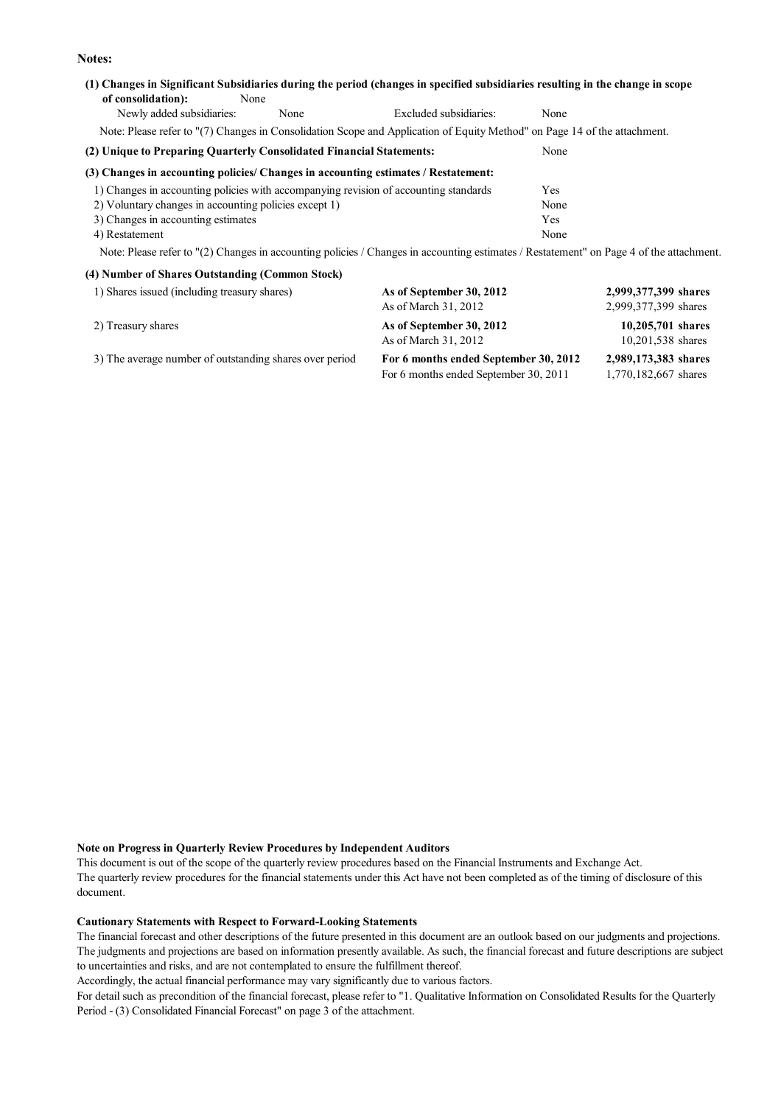**Notes:**

### **(1) Changes in Significant Subsidiaries during the period (changes in specified subsidiaries resulting in the change in scope of consolidation):** None Newly added subsidiaries: None Excluded subsidiaries: None Note: Please refer to "(7) Changes in Consolidation Scope and Application of Equity Method" on Page 14 of the attachment.

**(2) Unique to Preparing Quarterly Consolidated Financial Statements:** None

#### **(3) Changes in accounting policies/ Changes in accounting estimates / Restatement:**

| 1) Changes in accounting policies with accompanying revision of accounting standards | Yes  |
|--------------------------------------------------------------------------------------|------|
| 2) Voluntary changes in accounting policies except 1)                                | None |
| 3) Changes in accounting estimates                                                   | Yes  |
| 4) Restatement                                                                       | None |

Note: Please refer to "(2) Changes in accounting policies / Changes in accounting estimates / Restatement" on Page 4 of the attachment.

| (4) Number of Shares Outstanding (Common Stock)         |                                                                                |                                              |
|---------------------------------------------------------|--------------------------------------------------------------------------------|----------------------------------------------|
| 1) Shares issued (including treasury shares)            | As of September 30, 2012<br>As of March 31, 2012                               | 2,999,377,399 shares<br>2,999,377,399 shares |
| 2) Treasury shares                                      | As of September 30, 2012<br>As of March 31, 2012                               | 10,205,701 shares<br>10,201,538 shares       |
| 3) The average number of outstanding shares over period | For 6 months ended September 30, 2012<br>For 6 months ended September 30, 2011 | 2,989,173,383 shares<br>1,770,182,667 shares |

#### **Note on Progress in Quarterly Review Procedures by Independent Auditors**

This document is out of the scope of the quarterly review procedures based on the Financial Instruments and Exchange Act. The quarterly review procedures for the financial statements under this Act have not been completed as of the timing of disclosure of this document.

#### **Cautionary Statements with Respect to Forward-Looking Statements**

The financial forecast and other descriptions of the future presented in this document are an outlook based on our judgments and projections. The judgments and projections are based on information presently available. As such, the financial forecast and future descriptions are subject to uncertainties and risks, and are not contemplated to ensure the fulfillment thereof.

Accordingly, the actual financial performance may vary significantly due to various factors.

For detail such as precondition of the financial forecast, please refer to "1. Qualitative Information on Consolidated Results for the Quarterly Period - (3) Consolidated Financial Forecast" on page 3 of the attachment.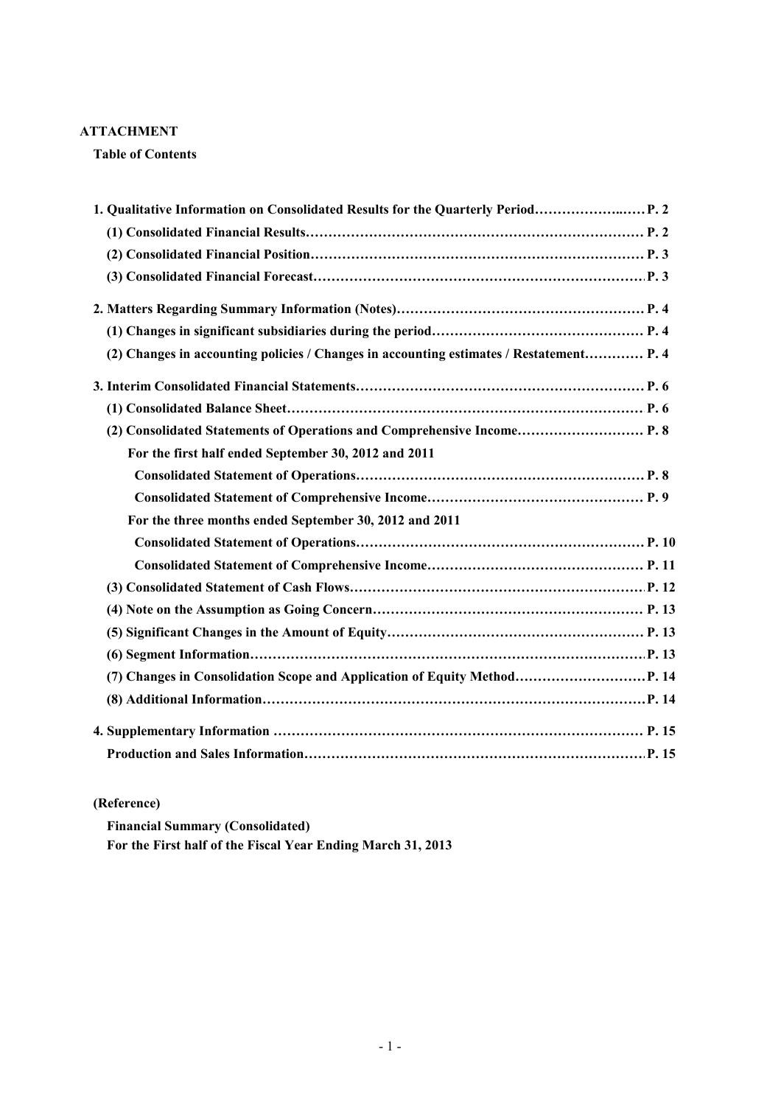## **ATTACHMENT**

**Table of Contents**

| 1. Qualitative Information on Consolidated Results for the Quarterly Period             |  |
|-----------------------------------------------------------------------------------------|--|
|                                                                                         |  |
|                                                                                         |  |
|                                                                                         |  |
|                                                                                         |  |
|                                                                                         |  |
| (2) Changes in accounting policies / Changes in accounting estimates / Restatement P. 4 |  |
|                                                                                         |  |
|                                                                                         |  |
| (2) Consolidated Statements of Operations and Comprehensive Income P. 8                 |  |
| For the first half ended September 30, 2012 and 2011                                    |  |
|                                                                                         |  |
|                                                                                         |  |
| For the three months ended September 30, 2012 and 2011                                  |  |
|                                                                                         |  |
|                                                                                         |  |
|                                                                                         |  |
|                                                                                         |  |
|                                                                                         |  |
|                                                                                         |  |
| (7) Changes in Consolidation Scope and Application of Equity Method P. 14               |  |
|                                                                                         |  |
|                                                                                         |  |
|                                                                                         |  |

# **(Reference)**

**Financial Summary (Consolidated) For the First half of the Fiscal Year Ending March 31, 2013**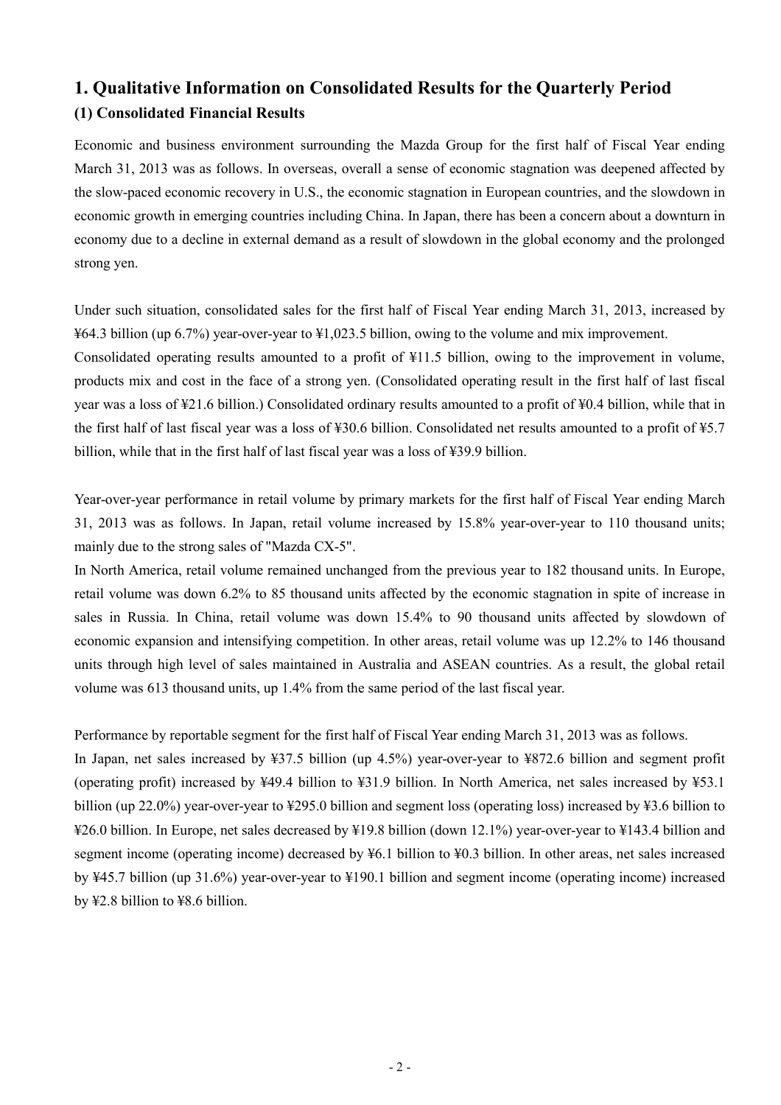# **1. Qualitative Information on Consolidated Results for the Quarterly Period (1) Consolidated Financial Results**

Economic and business environment surrounding the Mazda Group for the first half of Fiscal Year ending March 31, 2013 was as follows. In overseas, overall a sense of economic stagnation was deepened affected by the slow-paced economic recovery in U.S., the economic stagnation in European countries, and the slowdown in economic growth in emerging countries including China. In Japan, there has been a concern about a downturn in economy due to a decline in external demand as a result of slowdown in the global economy and the prolonged strong yen.

Under such situation, consolidated sales for the first half of Fiscal Year ending March 31, 2013, increased by ¥64.3 billion (up 6.7%) year-over-year to ¥1,023.5 billion, owing to the volume and mix improvement. Consolidated operating results amounted to a profit of ¥11.5 billion, owing to the improvement in volume,

products mix and cost in the face of a strong yen. (Consolidated operating result in the first half of last fiscal year was a loss of ¥21.6 billion.) Consolidated ordinary results amounted to a profit of ¥0.4 billion, while that in the first half of last fiscal year was a loss of ¥30.6 billion. Consolidated net results amounted to a profit of ¥5.7 billion, while that in the first half of last fiscal year was a loss of ¥39.9 billion.

Year-over-year performance in retail volume by primary markets for the first half of Fiscal Year ending March 31, 2013 was as follows. In Japan, retail volume increased by 15.8% year-over-year to 110 thousand units; mainly due to the strong sales of "Mazda CX-5".

In North America, retail volume remained unchanged from the previous year to 182 thousand units. In Europe, retail volume was down 6.2% to 85 thousand units affected by the economic stagnation in spite of increase in sales in Russia. In China, retail volume was down 15.4% to 90 thousand units affected by slowdown of economic expansion and intensifying competition. In other areas, retail volume was up 12.2% to 146 thousand units through high level of sales maintained in Australia and ASEAN countries. As a result, the global retail volume was 613 thousand units, up 1.4% from the same period of the last fiscal year.

Performance by reportable segment for the first half of Fiscal Year ending March 31, 2013 was as follows.

In Japan, net sales increased by ¥37.5 billion (up 4.5%) year-over-year to ¥872.6 billion and segment profit (operating profit) increased by ¥49.4 billion to ¥31.9 billion. In North America, net sales increased by ¥53.1 billion (up 22.0%) year-over-year to ¥295.0 billion and segment loss (operating loss) increased by ¥3.6 billion to ¥26.0 billion. In Europe, net sales decreased by ¥19.8 billion (down 12.1%) year-over-year to ¥143.4 billion and segment income (operating income) decreased by ¥6.1 billion to ¥0.3 billion. In other areas, net sales increased by ¥45.7 billion (up 31.6%) year-over-year to ¥190.1 billion and segment income (operating income) increased by ¥2.8 billion to ¥8.6 billion.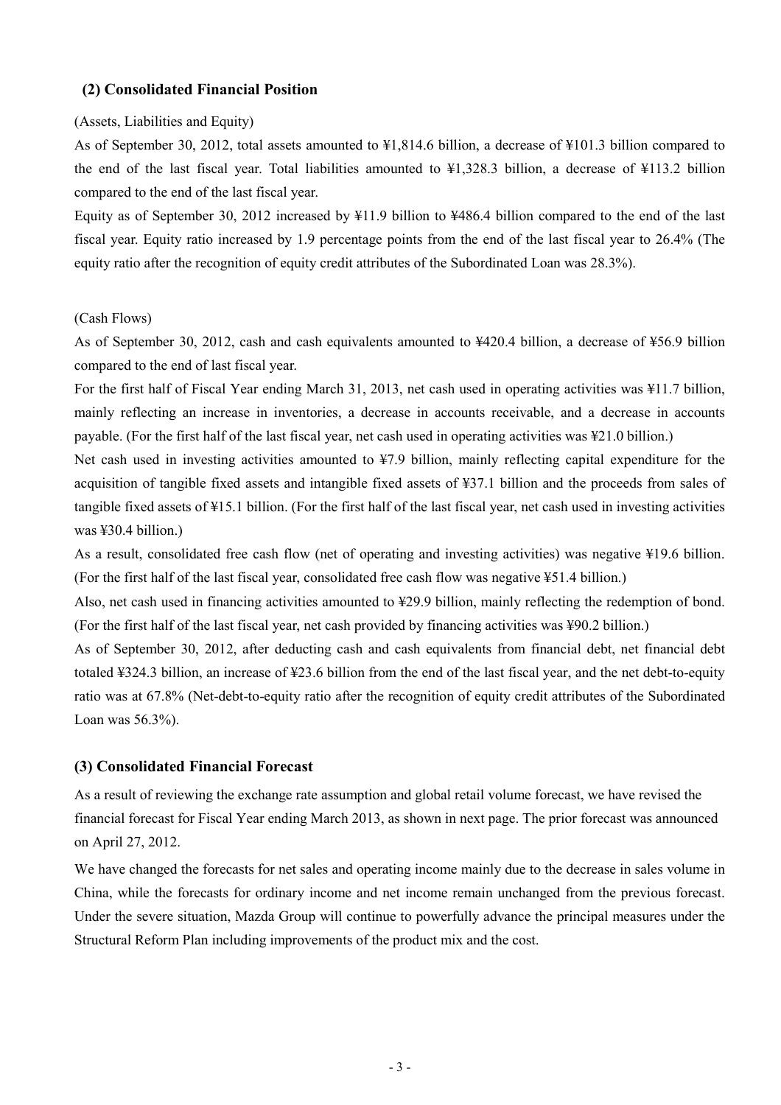### **(2) Consolidated Financial Position**

### (Assets, Liabilities and Equity)

As of September 30, 2012, total assets amounted to ¥1,814.6 billion, a decrease of ¥101.3 billion compared to the end of the last fiscal year. Total liabilities amounted to ¥1,328.3 billion, a decrease of ¥113.2 billion compared to the end of the last fiscal year.

Equity as of September 30, 2012 increased by ¥11.9 billion to ¥486.4 billion compared to the end of the last fiscal year. Equity ratio increased by 1.9 percentage points from the end of the last fiscal year to 26.4% (The equity ratio after the recognition of equity credit attributes of the Subordinated Loan was 28.3%).

### (Cash Flows)

As of September 30, 2012, cash and cash equivalents amounted to ¥420.4 billion, a decrease of ¥56.9 billion compared to the end of last fiscal year.

For the first half of Fiscal Year ending March 31, 2013, net cash used in operating activities was ¥11.7 billion, mainly reflecting an increase in inventories, a decrease in accounts receivable, and a decrease in accounts payable. (For the first half of the last fiscal year, net cash used in operating activities was ¥21.0 billion.)

Net cash used in investing activities amounted to ¥7.9 billion, mainly reflecting capital expenditure for the acquisition of tangible fixed assets and intangible fixed assets of ¥37.1 billion and the proceeds from sales of tangible fixed assets of ¥15.1 billion. (For the first half of the last fiscal year, net cash used in investing activities was ¥30.4 billion.)

As a result, consolidated free cash flow (net of operating and investing activities) was negative ¥19.6 billion. (For the first half of the last fiscal year, consolidated free cash flow was negative ¥51.4 billion.)

Also, net cash used in financing activities amounted to ¥29.9 billion, mainly reflecting the redemption of bond. (For the first half of the last fiscal year, net cash provided by financing activities was ¥90.2 billion.)

As of September 30, 2012, after deducting cash and cash equivalents from financial debt, net financial debt totaled ¥324.3 billion, an increase of ¥23.6 billion from the end of the last fiscal year, and the net debt-to-equity ratio was at 67.8% (Net-debt-to-equity ratio after the recognition of equity credit attributes of the Subordinated Loan was 56.3%).

### **(3) Consolidated Financial Forecast**

As a result of reviewing the exchange rate assumption and global retail volume forecast, we have revised the financial forecast for Fiscal Year ending March 2013, as shown in next page. The prior forecast was announced on April 27, 2012.

We have changed the forecasts for net sales and operating income mainly due to the decrease in sales volume in China, while the forecasts for ordinary income and net income remain unchanged from the previous forecast. Under the severe situation, Mazda Group will continue to powerfully advance the principal measures under the Structural Reform Plan including improvements of the product mix and the cost.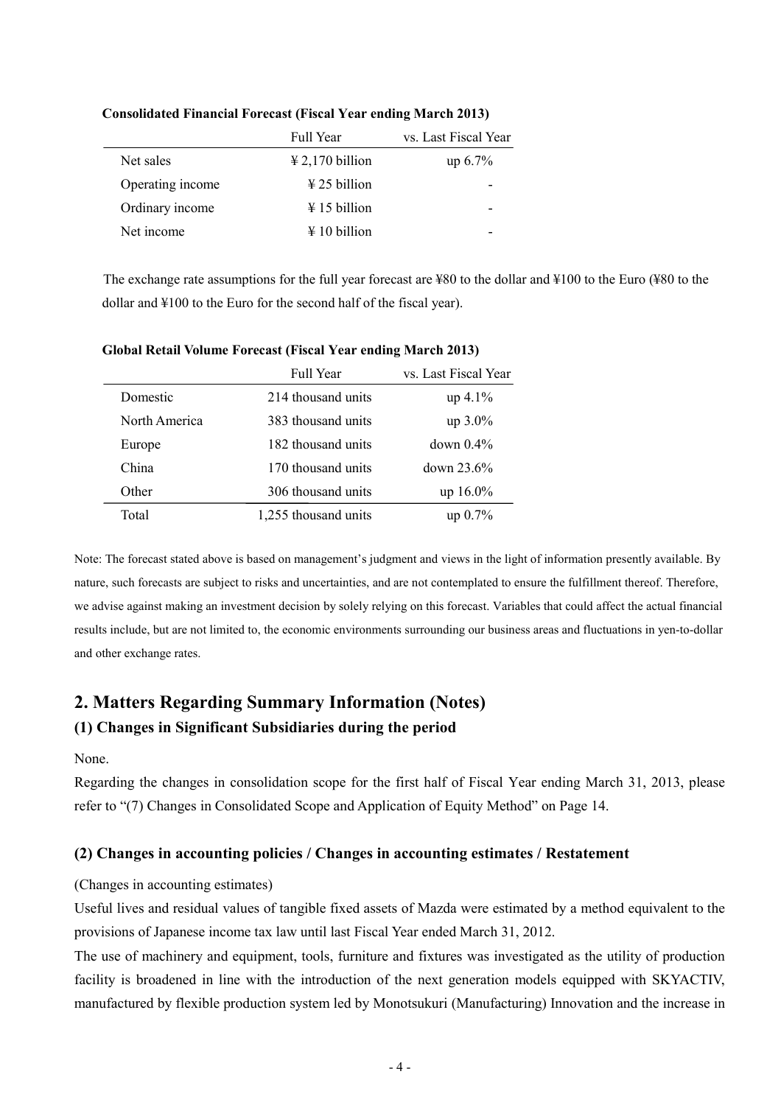|                  | <b>Full Year</b>                    | vs. Last Fiscal Year |
|------------------|-------------------------------------|----------------------|
| Net sales        | $\text{\textsterling}2,170$ billion | up 6.7%              |
| Operating income | $\frac{1}{2}$ 25 billion            |                      |
| Ordinary income  | $\frac{1}{2}$ 15 billion            |                      |
| Net income       | $\frac{1}{2}$ 10 billion            |                      |

### **Consolidated Financial Forecast (Fiscal Year ending March 2013)**

The exchange rate assumptions for the full year forecast are ¥80 to the dollar and ¥100 to the Euro (¥80 to the dollar and ¥100 to the Euro for the second half of the fiscal year).

|               | <b>Full Year</b>     | vs. Last Fiscal Year |
|---------------|----------------------|----------------------|
| Domestic      | 214 thousand units   | $up\ 4.1\%$          |
| North America | 383 thousand units   | $up$ 3.0%            |
| Europe        | 182 thousand units   | $down~0.4\%$         |
| China         | 170 thousand units   | down 23.6%           |
| Other         | 306 thousand units   | $up 16.0\%$          |
| Total         | 1,255 thousand units | $up\ 0.7\%$          |

### **Global Retail Volume Forecast (Fiscal Year ending March 2013)**

Note: The forecast stated above is based on management's judgment and views in the light of information presently available. By nature, such forecasts are subject to risks and uncertainties, and are not contemplated to ensure the fulfillment thereof. Therefore, we advise against making an investment decision by solely relying on this forecast. Variables that could affect the actual financial results include, but are not limited to, the economic environments surrounding our business areas and fluctuations in yen-to-dollar and other exchange rates.

# **2. Matters Regarding Summary Information (Notes) (1) Changes in Significant Subsidiaries during the period**

None.

Regarding the changes in consolidation scope for the first half of Fiscal Year ending March 31, 2013, please refer to "(7) Changes in Consolidated Scope and Application of Equity Method" on Page 14.

# **(2) Changes in accounting policies / Changes in accounting estimates / Restatement**

### (Changes in accounting estimates)

Useful lives and residual values of tangible fixed assets of Mazda were estimated by a method equivalent to the provisions of Japanese income tax law until last Fiscal Year ended March 31, 2012.

The use of machinery and equipment, tools, furniture and fixtures was investigated as the utility of production facility is broadened in line with the introduction of the next generation models equipped with SKYACTIV, manufactured by flexible production system led by Monotsukuri (Manufacturing) Innovation and the increase in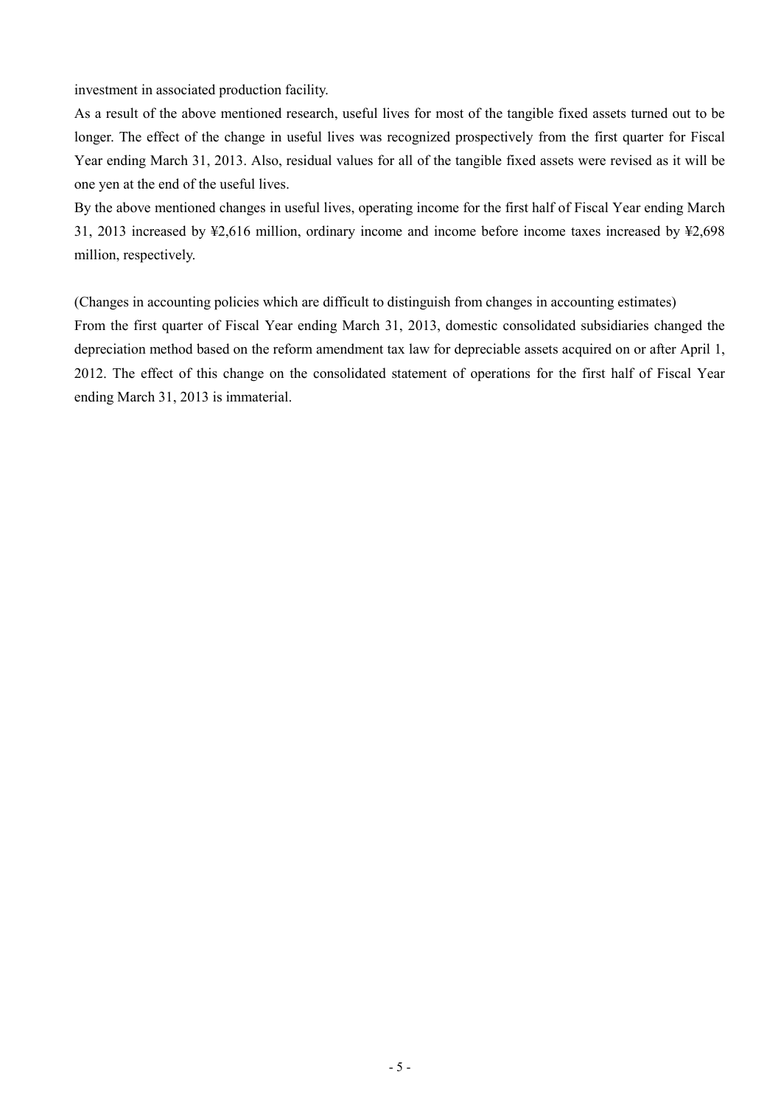investment in associated production facility.

As a result of the above mentioned research, useful lives for most of the tangible fixed assets turned out to be longer. The effect of the change in useful lives was recognized prospectively from the first quarter for Fiscal Year ending March 31, 2013. Also, residual values for all of the tangible fixed assets were revised as it will be one yen at the end of the useful lives.

By the above mentioned changes in useful lives, operating income for the first half of Fiscal Year ending March 31, 2013 increased by ¥2,616 million, ordinary income and income before income taxes increased by ¥2,698 million, respectively.

(Changes in accounting policies which are difficult to distinguish from changes in accounting estimates) From the first quarter of Fiscal Year ending March 31, 2013, domestic consolidated subsidiaries changed the depreciation method based on the reform amendment tax law for depreciable assets acquired on or after April 1, 2012. The effect of this change on the consolidated statement of operations for the first half of Fiscal Year ending March 31, 2013 is immaterial.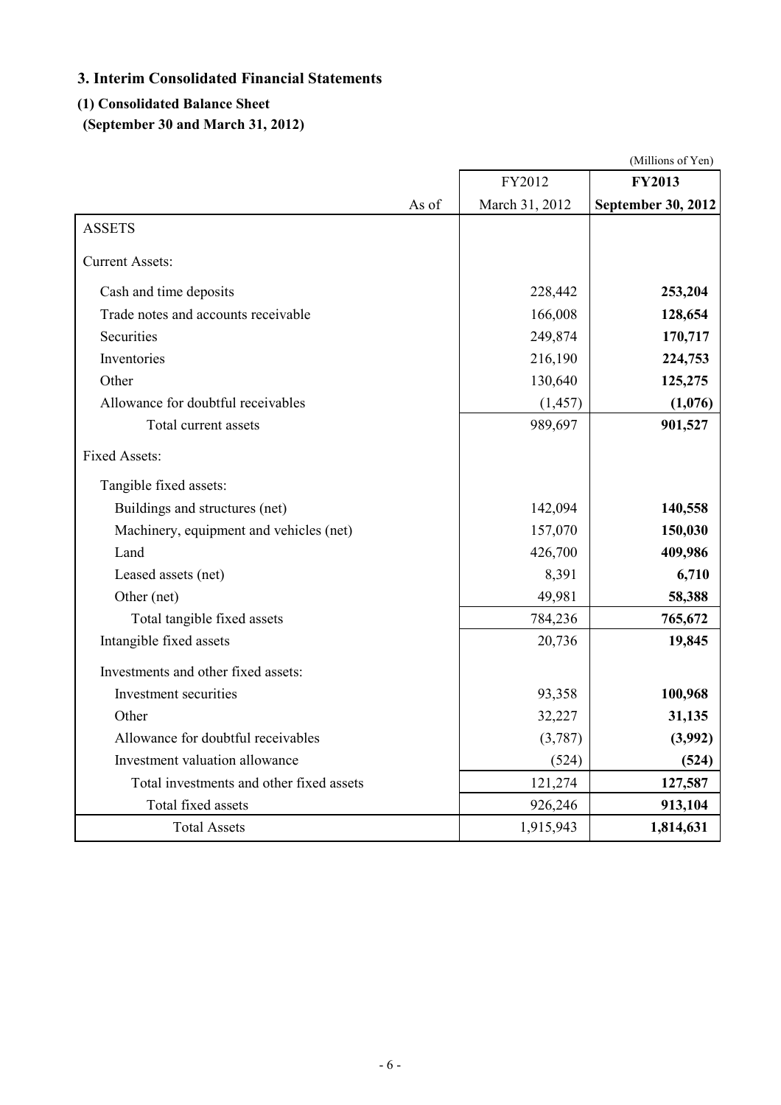# **3. Interim Consolidated Financial Statements**

# **(1) Consolidated Balance Sheet**

**(September 30 and March 31, 2012)**

|                                          |       |                | (Millions of Yen)         |
|------------------------------------------|-------|----------------|---------------------------|
|                                          |       | FY2012         | <b>FY2013</b>             |
|                                          | As of | March 31, 2012 | <b>September 30, 2012</b> |
| <b>ASSETS</b>                            |       |                |                           |
| <b>Current Assets:</b>                   |       |                |                           |
| Cash and time deposits                   |       | 228,442        | 253,204                   |
| Trade notes and accounts receivable      |       | 166,008        | 128,654                   |
| Securities                               |       | 249,874        | 170,717                   |
| Inventories                              |       | 216,190        | 224,753                   |
| Other                                    |       | 130,640        | 125,275                   |
| Allowance for doubtful receivables       |       | (1, 457)       | (1,076)                   |
| Total current assets                     |       | 989,697        | 901,527                   |
| <b>Fixed Assets:</b>                     |       |                |                           |
| Tangible fixed assets:                   |       |                |                           |
| Buildings and structures (net)           |       | 142,094        | 140,558                   |
| Machinery, equipment and vehicles (net)  |       | 157,070        | 150,030                   |
| Land                                     |       | 426,700        | 409,986                   |
| Leased assets (net)                      |       | 8,391          | 6,710                     |
| Other (net)                              |       | 49,981         | 58,388                    |
| Total tangible fixed assets              |       | 784,236        | 765,672                   |
| Intangible fixed assets                  |       | 20,736         | 19,845                    |
| Investments and other fixed assets:      |       |                |                           |
| Investment securities                    |       | 93,358         | 100,968                   |
| Other                                    |       | 32,227         | 31,135                    |
| Allowance for doubtful receivables       |       | (3,787)        | (3,992)                   |
| Investment valuation allowance           |       | (524)          | (524)                     |
| Total investments and other fixed assets |       | 121,274        | 127,587                   |
| Total fixed assets                       |       | 926,246        | 913,104                   |
| <b>Total Assets</b>                      |       | 1,915,943      | 1,814,631                 |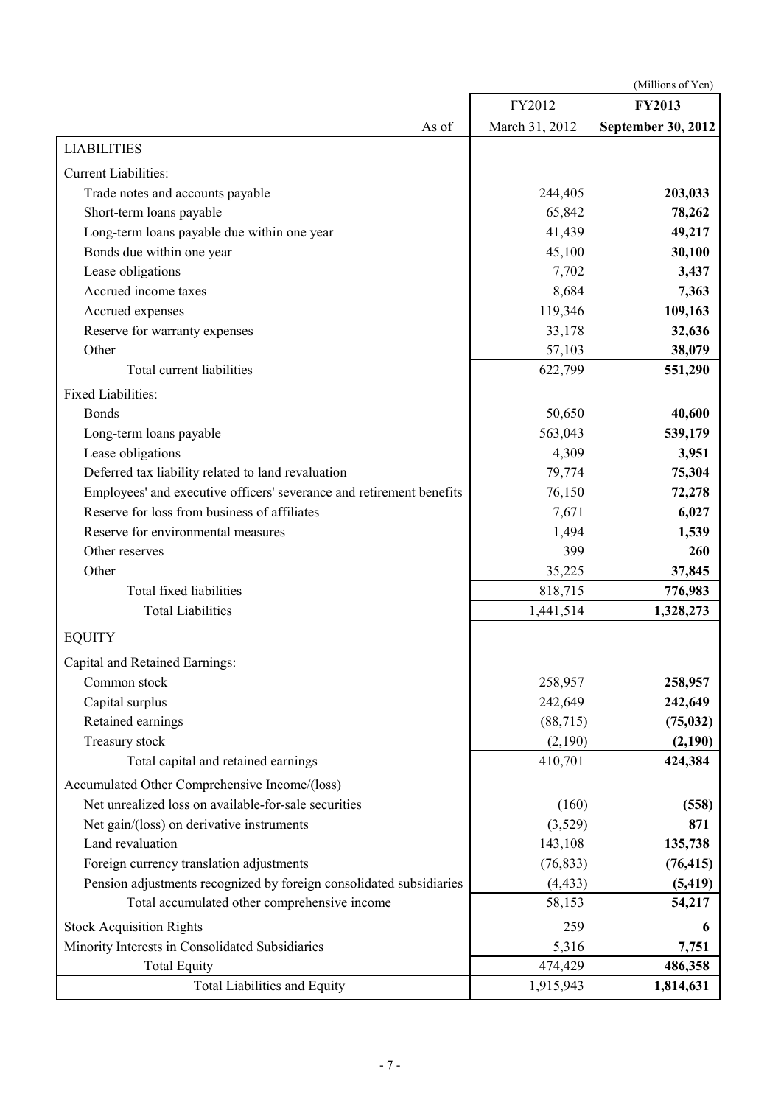(Millions of Yen)

|                                                                      | FY2012         | <b>FY2013</b>      |
|----------------------------------------------------------------------|----------------|--------------------|
| As of                                                                | March 31, 2012 | September 30, 2012 |
| <b>LIABILITIES</b>                                                   |                |                    |
| <b>Current Liabilities:</b>                                          |                |                    |
| Trade notes and accounts payable                                     | 244,405        | 203,033            |
| Short-term loans payable                                             | 65,842         | 78,262             |
| Long-term loans payable due within one year                          | 41,439         | 49,217             |
| Bonds due within one year                                            | 45,100         | 30,100             |
| Lease obligations                                                    | 7,702          | 3,437              |
| Accrued income taxes                                                 | 8,684          | 7,363              |
| Accrued expenses                                                     | 119,346        | 109,163            |
| Reserve for warranty expenses                                        | 33,178         | 32,636             |
| Other                                                                | 57,103         | 38,079             |
| Total current liabilities                                            | 622,799        | 551,290            |
| Fixed Liabilities:                                                   |                |                    |
| <b>Bonds</b>                                                         | 50,650         | 40,600             |
| Long-term loans payable                                              | 563,043        | 539,179            |
| Lease obligations                                                    | 4,309          | 3,951              |
| Deferred tax liability related to land revaluation                   | 79,774         | 75,304             |
| Employees' and executive officers' severance and retirement benefits | 76,150         | 72,278             |
| Reserve for loss from business of affiliates                         | 7,671          | 6,027              |
| Reserve for environmental measures                                   | 1,494          | 1,539              |
| Other reserves                                                       | 399            | 260                |
| Other                                                                | 35,225         | 37,845             |
| Total fixed liabilities                                              | 818,715        | 776,983            |
| <b>Total Liabilities</b>                                             | 1,441,514      | 1,328,273          |
| <b>EQUITY</b>                                                        |                |                    |
| Capital and Retained Earnings:                                       |                |                    |
| Common stock                                                         | 258,957        | 258,957            |
| Capital surplus                                                      | 242,649        | 242,649            |
| Retained earnings                                                    | (88, 715)      | (75, 032)          |
| Treasury stock                                                       | (2,190)        | (2,190)            |
| Total capital and retained earnings                                  | 410,701        | 424,384            |
| Accumulated Other Comprehensive Income/(loss)                        |                |                    |
| Net unrealized loss on available-for-sale securities                 | (160)          | (558)              |
| Net gain/(loss) on derivative instruments                            | (3,529)        | 871                |
| Land revaluation                                                     | 143,108        | 135,738            |
| Foreign currency translation adjustments                             | (76, 833)      | (76, 415)          |
| Pension adjustments recognized by foreign consolidated subsidiaries  | (4, 433)       | (5, 419)           |
| Total accumulated other comprehensive income                         | 58,153         | 54,217             |
| <b>Stock Acquisition Rights</b>                                      | 259            | 6                  |
| Minority Interests in Consolidated Subsidiaries                      | 5,316          | 7,751              |
| <b>Total Equity</b>                                                  | 474,429        | 486,358            |
| <b>Total Liabilities and Equity</b>                                  | 1,915,943      | 1,814,631          |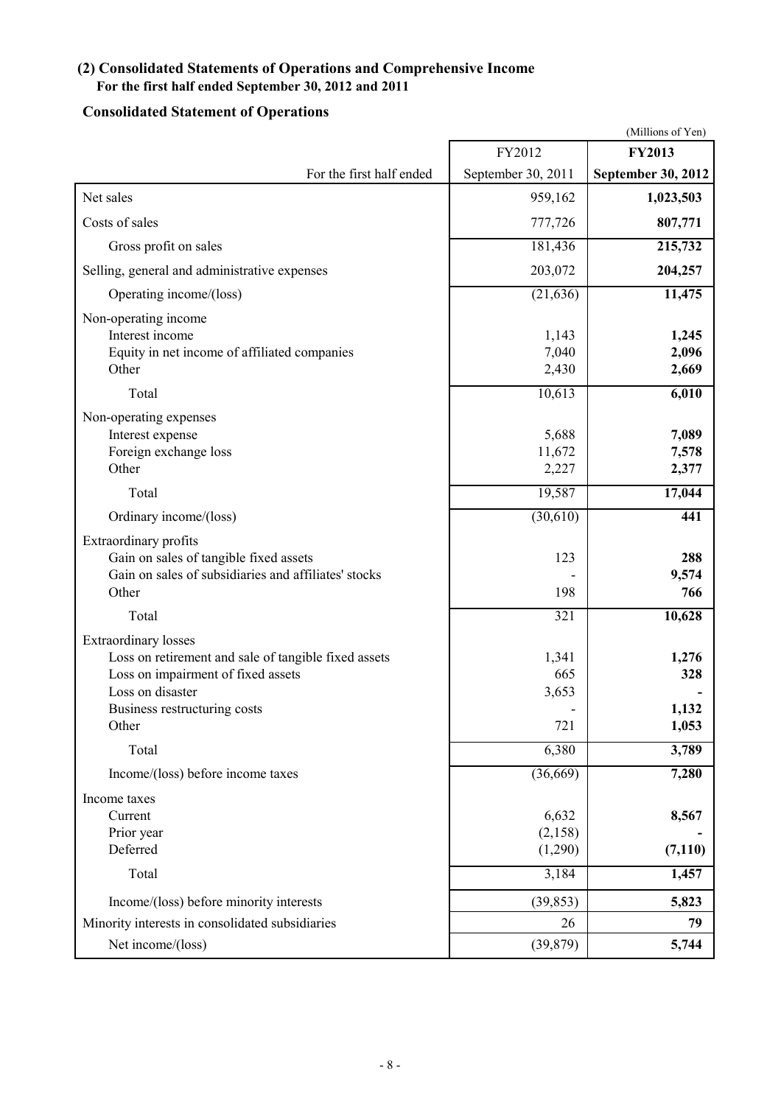# **(2) Consolidated Statements of Operations and Comprehensive Income For the first half ended September 30, 2012 and 2011**

# **Consolidated Statement of Operations**

|                                                                                                                                                                                        |                                   | (Millions of Yen)                |
|----------------------------------------------------------------------------------------------------------------------------------------------------------------------------------------|-----------------------------------|----------------------------------|
|                                                                                                                                                                                        | FY2012                            | <b>FY2013</b>                    |
| For the first half ended                                                                                                                                                               | September 30, 2011                | <b>September 30, 2012</b>        |
| Net sales                                                                                                                                                                              | 959,162                           | 1,023,503                        |
| Costs of sales                                                                                                                                                                         | 777,726                           | 807,771                          |
| Gross profit on sales                                                                                                                                                                  | 181,436                           | 215,732                          |
| Selling, general and administrative expenses                                                                                                                                           | 203,072                           | 204,257                          |
| Operating income/(loss)                                                                                                                                                                | (21, 636)                         | 11,475                           |
| Non-operating income<br>Interest income<br>Equity in net income of affiliated companies<br>Other<br>Total                                                                              | 1,143<br>7,040<br>2,430<br>10,613 | 1,245<br>2,096<br>2,669<br>6,010 |
| Non-operating expenses<br>Interest expense<br>Foreign exchange loss<br>Other                                                                                                           | 5,688<br>11,672<br>2,227          | 7,089<br>7,578<br>2,377          |
| Total                                                                                                                                                                                  | 19,587                            | 17,044                           |
| Ordinary income/(loss)                                                                                                                                                                 | (30,610)                          | 441                              |
| Extraordinary profits<br>Gain on sales of tangible fixed assets<br>Gain on sales of subsidiaries and affiliates' stocks<br>Other                                                       | 123<br>198                        | 288<br>9,574<br>766              |
| Total                                                                                                                                                                                  | 321                               | 10,628                           |
| <b>Extraordinary losses</b><br>Loss on retirement and sale of tangible fixed assets<br>Loss on impairment of fixed assets<br>Loss on disaster<br>Business restructuring costs<br>Other | 1,341<br>665<br>3,653<br>721      | 1,276<br>328<br>1,132<br>1,053   |
| Total                                                                                                                                                                                  | 6,380                             | 3,789                            |
| Income/(loss) before income taxes                                                                                                                                                      | (36,669)                          | 7,280                            |
| Income taxes<br>Current<br>Prior year<br>Deferred                                                                                                                                      | 6,632<br>(2,158)<br>(1,290)       | 8,567<br>(7, 110)                |
| Total                                                                                                                                                                                  | 3,184                             | 1,457                            |
| Income/(loss) before minority interests                                                                                                                                                | (39, 853)                         | 5,823                            |
| Minority interests in consolidated subsidiaries                                                                                                                                        | 26                                | 79                               |
| Net income/(loss)                                                                                                                                                                      | (39, 879)                         | 5,744                            |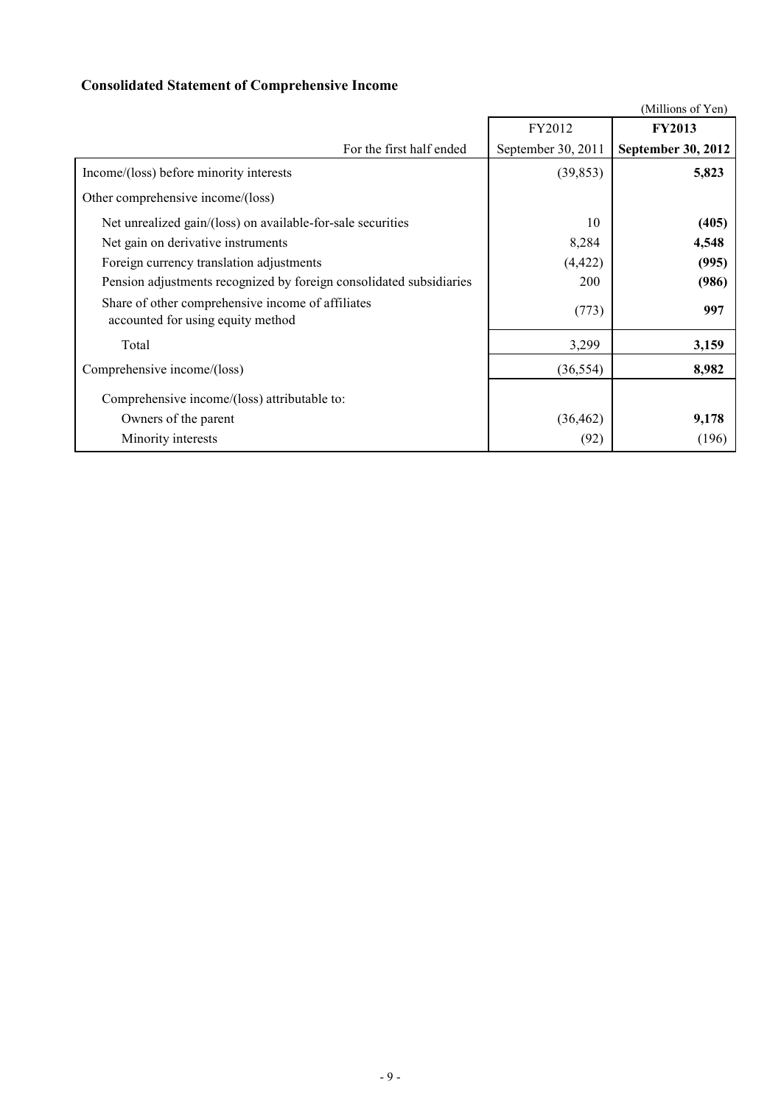# **Consolidated Statement of Comprehensive Income**

|                                                                                        |                    | (Millions of Yen)  |
|----------------------------------------------------------------------------------------|--------------------|--------------------|
|                                                                                        | FY2012             | <b>FY2013</b>      |
| For the first half ended                                                               | September 30, 2011 | September 30, 2012 |
| Income/(loss) before minority interests                                                | (39, 853)          | 5,823              |
| Other comprehensive income/(loss)                                                      |                    |                    |
| Net unrealized gain/(loss) on available-for-sale securities                            | 10                 | (405)              |
| Net gain on derivative instruments                                                     | 8,284              | 4,548              |
| Foreign currency translation adjustments                                               | (4, 422)           | (995)              |
| Pension adjustments recognized by foreign consolidated subsidiaries                    | <b>200</b>         | (986)              |
| Share of other comprehensive income of affiliates<br>accounted for using equity method | (773)              | 997                |
| Total                                                                                  | 3,299              | 3,159              |
| Comprehensive income/(loss)                                                            | (36, 554)          | 8,982              |
| Comprehensive income/(loss) attributable to:                                           |                    |                    |
| Owners of the parent                                                                   | (36, 462)          | 9,178              |
| Minority interests                                                                     | (92)               | (196)              |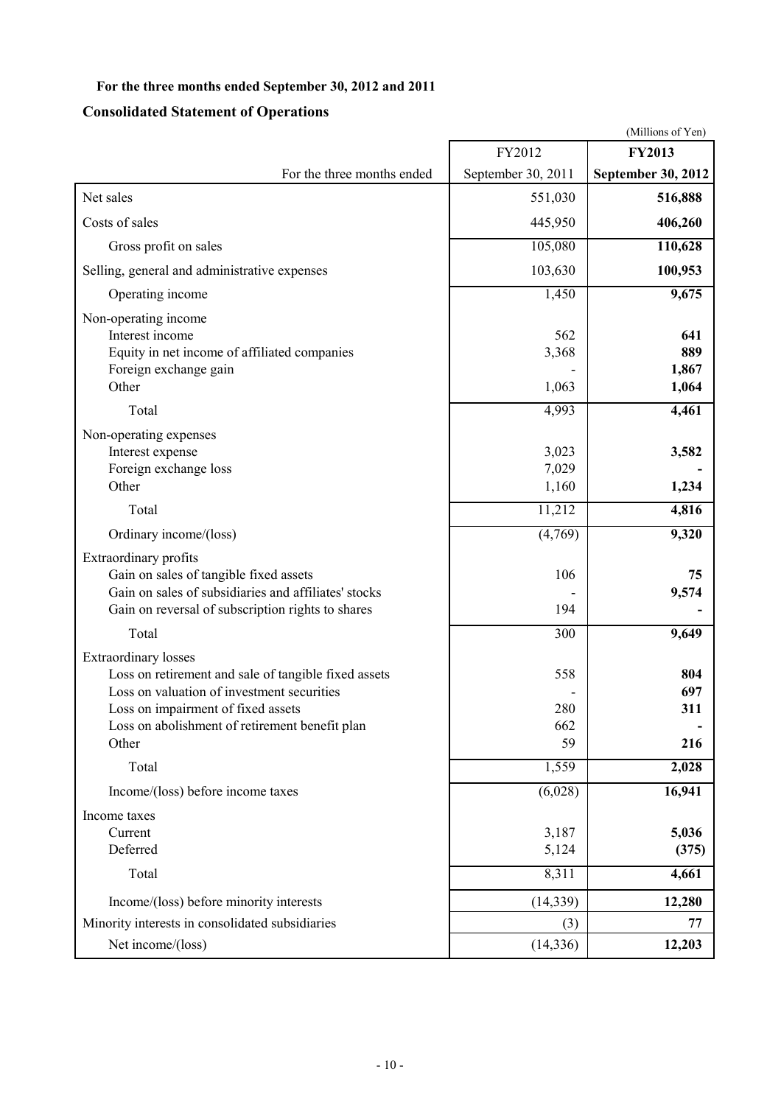# **For the three months ended September 30, 2012 and 2011**

# **Consolidated Statement of Operations**

| (Millions of Yen)                                                                                                                                                                                                                  |                         |                              |  |  |  |
|------------------------------------------------------------------------------------------------------------------------------------------------------------------------------------------------------------------------------------|-------------------------|------------------------------|--|--|--|
|                                                                                                                                                                                                                                    | FY2012                  | <b>FY2013</b>                |  |  |  |
| For the three months ended                                                                                                                                                                                                         | September 30, 2011      | September 30, 2012           |  |  |  |
| Net sales                                                                                                                                                                                                                          | 551,030                 | 516,888                      |  |  |  |
| Costs of sales                                                                                                                                                                                                                     | 445,950                 | 406,260                      |  |  |  |
| Gross profit on sales                                                                                                                                                                                                              | 105,080                 | 110,628                      |  |  |  |
| Selling, general and administrative expenses                                                                                                                                                                                       | 103,630                 | 100,953                      |  |  |  |
| Operating income                                                                                                                                                                                                                   | 1,450                   | 9,675                        |  |  |  |
| Non-operating income<br>Interest income<br>Equity in net income of affiliated companies<br>Foreign exchange gain<br>Other                                                                                                          | 562<br>3,368<br>1,063   | 641<br>889<br>1,867<br>1,064 |  |  |  |
| Total                                                                                                                                                                                                                              | 4,993                   | 4,461                        |  |  |  |
| Non-operating expenses<br>Interest expense<br>Foreign exchange loss<br>Other                                                                                                                                                       | 3,023<br>7,029<br>1,160 | 3,582<br>1,234               |  |  |  |
| Total                                                                                                                                                                                                                              | 11,212                  | 4,816                        |  |  |  |
| Ordinary income/(loss)                                                                                                                                                                                                             | (4,769)                 | 9,320                        |  |  |  |
| Extraordinary profits<br>Gain on sales of tangible fixed assets<br>Gain on sales of subsidiaries and affiliates' stocks<br>Gain on reversal of subscription rights to shares                                                       | 106<br>194              | 75<br>9,574                  |  |  |  |
| Total                                                                                                                                                                                                                              | 300                     | 9,649                        |  |  |  |
| <b>Extraordinary losses</b><br>Loss on retirement and sale of tangible fixed assets<br>Loss on valuation of investment securities<br>Loss on impairment of fixed assets<br>Loss on abolishment of retirement benefit plan<br>Other | 558<br>280<br>662<br>59 | 804<br>697<br>311<br>216     |  |  |  |
| Total                                                                                                                                                                                                                              | 1,559                   | 2,028                        |  |  |  |
| Income/(loss) before income taxes                                                                                                                                                                                                  | (6,028)                 | 16,941                       |  |  |  |
| Income taxes<br>Current<br>Deferred<br>Total                                                                                                                                                                                       | 3,187<br>5,124<br>8,311 | 5,036<br>(375)<br>4,661      |  |  |  |
| Income/(loss) before minority interests                                                                                                                                                                                            | (14, 339)               | 12,280                       |  |  |  |
| Minority interests in consolidated subsidiaries                                                                                                                                                                                    | (3)                     | 77                           |  |  |  |
| Net income/(loss)                                                                                                                                                                                                                  | (14, 336)               | 12,203                       |  |  |  |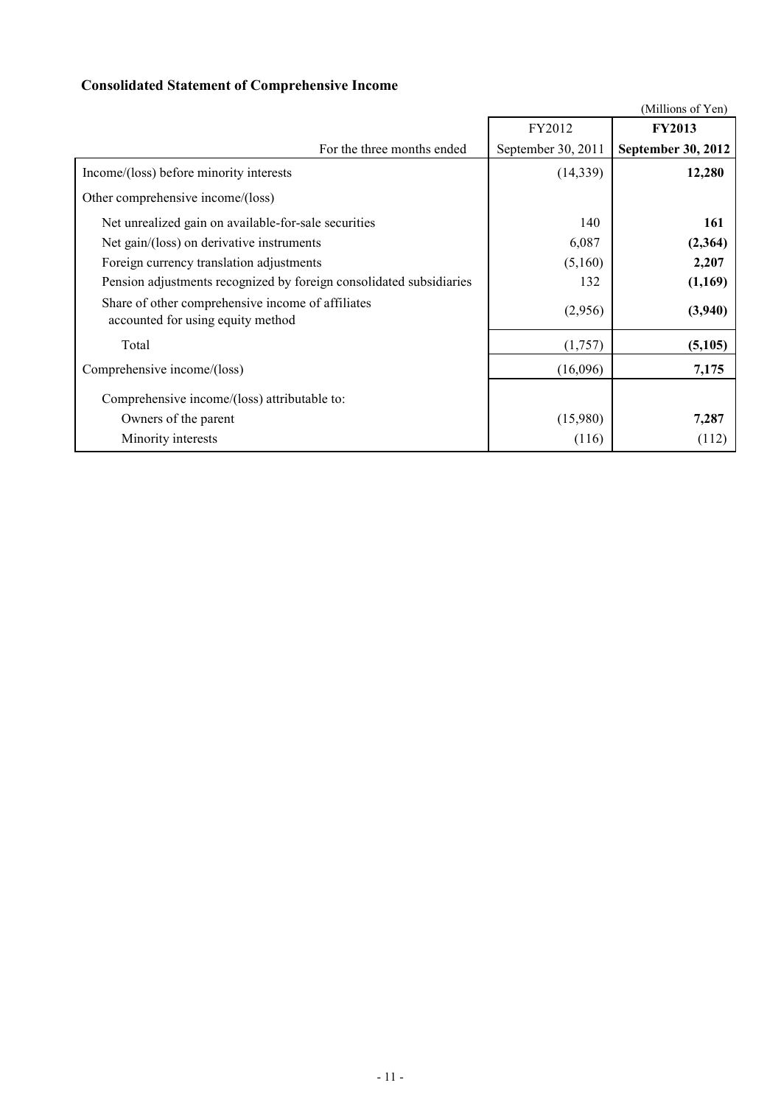# **Consolidated Statement of Comprehensive Income**

|                                                                                        |                    | (Millions of Yen)  |
|----------------------------------------------------------------------------------------|--------------------|--------------------|
|                                                                                        | FY2012             | <b>FY2013</b>      |
| For the three months ended                                                             | September 30, 2011 | September 30, 2012 |
| Income/(loss) before minority interests                                                | (14, 339)          | 12,280             |
| Other comprehensive income/(loss)                                                      |                    |                    |
| Net unrealized gain on available-for-sale securities                                   | 140                | 161                |
| Net gain/(loss) on derivative instruments                                              | 6,087              | (2,364)            |
| Foreign currency translation adjustments                                               | (5,160)            | 2,207              |
| Pension adjustments recognized by foreign consolidated subsidiaries                    | 132                | (1,169)            |
| Share of other comprehensive income of affiliates<br>accounted for using equity method | (2,956)            | (3,940)            |
| Total                                                                                  | (1,757)            | (5,105)            |
| Comprehensive income/(loss)                                                            | (16,096)           | 7,175              |
| Comprehensive income/(loss) attributable to:                                           |                    |                    |
| Owners of the parent                                                                   | (15,980)           | 7,287              |
| Minority interests                                                                     | (116)              | (112)              |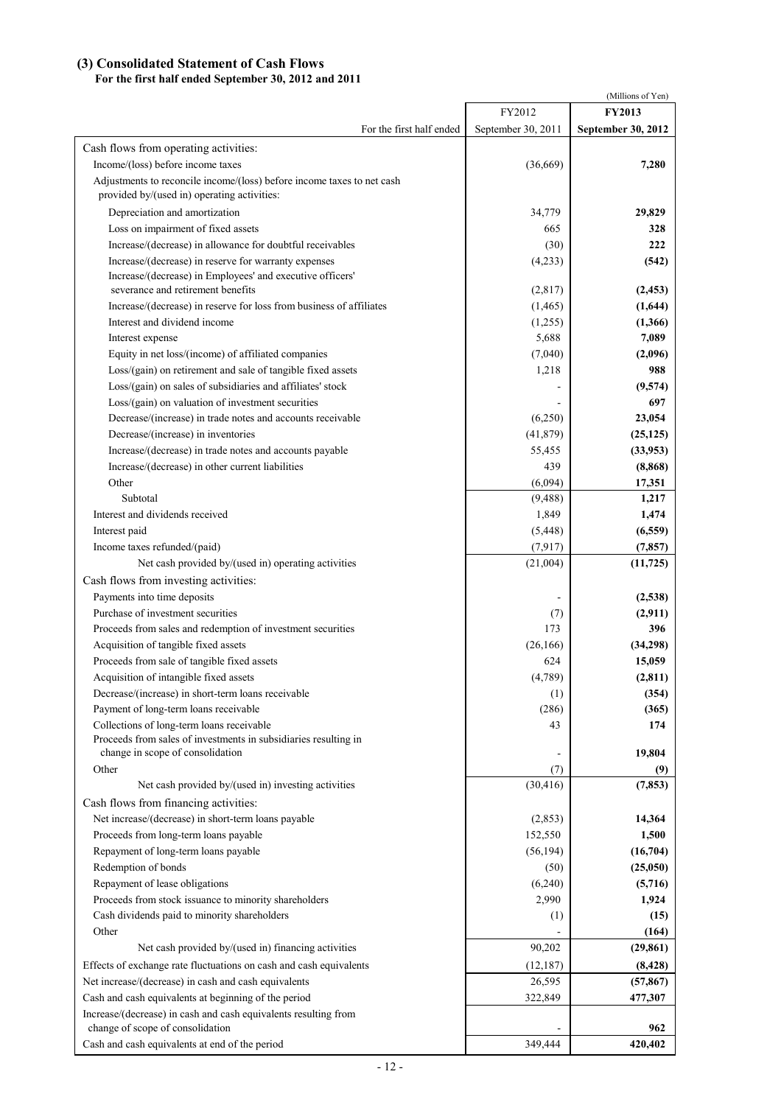# **(3) Consolidated Statement of Cash Flows**

# **For the first half ended September 30, 2012 and 2011**

| FY2012<br><b>FY2013</b><br>For the first half ended<br>September 30, 2011<br>September 30, 2012<br>Cash flows from operating activities:<br>Income/(loss) before income taxes<br>(36, 669)<br>7,280<br>Adjustments to reconcile income/(loss) before income taxes to net cash<br>provided by/(used in) operating activities:<br>Depreciation and amortization<br>34,779<br>29,829<br>Loss on impairment of fixed assets<br>665<br>328<br>Increase/(decrease) in allowance for doubtful receivables<br>(30)<br>222<br>Increase/(decrease) in reserve for warranty expenses<br>(4,233)<br>(542)<br>Increase/(decrease) in Employees' and executive officers'<br>severance and retirement benefits<br>(2,817)<br>(2, 453)<br>Increase/(decrease) in reserve for loss from business of affiliates<br>(1,644)<br>(1, 465)<br>Interest and dividend income<br>(1, 366)<br>(1,255)<br>7,089<br>5,688<br>Interest expense<br>Equity in net loss/(income) of affiliated companies<br>(7,040)<br>(2,096)<br>988<br>Loss/(gain) on retirement and sale of tangible fixed assets<br>1,218<br>Loss/(gain) on sales of subsidiaries and affiliates' stock<br>(9,574)<br>697<br>Loss/(gain) on valuation of investment securities<br>Decrease/(increase) in trade notes and accounts receivable<br>23,054<br>(6,250)<br>Decrease/(increase) in inventories<br>(41, 879)<br>(25, 125)<br>Increase/(decrease) in trade notes and accounts payable<br>(33,953)<br>55,455<br>Increase/(decrease) in other current liabilities<br>439<br>(8, 868)<br>Other<br>(6,094)<br>17,351<br>Subtotal<br>1,217<br>(9, 488)<br>Interest and dividends received<br>1,474<br>1,849<br>Interest paid<br>(6, 559)<br>(5, 448)<br>Income taxes refunded/(paid)<br>(7, 917)<br>(7, 857)<br>Net cash provided by/(used in) operating activities<br>(21,004)<br>(11, 725)<br>Cash flows from investing activities:<br>Payments into time deposits<br>(2,538)<br>Purchase of investment securities<br>(2,911)<br>(7)<br>173<br>Proceeds from sales and redemption of investment securities<br>396<br>Acquisition of tangible fixed assets<br>(26, 166)<br>(34,298)<br>Proceeds from sale of tangible fixed assets<br>624<br>15,059<br>Acquisition of intangible fixed assets<br>(4,789)<br>(2,811)<br>Decrease/(increase) in short-term loans receivable<br>(354)<br>(1)<br>Payment of long-term loans receivable<br>(286)<br>(365)<br>Collections of long-term loans receivable<br>43<br>174<br>Proceeds from sales of investments in subsidiaries resulting in<br>change in scope of consolidation<br>19,804<br>Other<br>(7)<br>(9)<br>(30, 416)<br>Net cash provided by/(used in) investing activities<br>(7, 853)<br>Cash flows from financing activities:<br>Net increase/(decrease) in short-term loans payable<br>14,364<br>(2,853)<br>Proceeds from long-term loans payable<br>1,500<br>152,550<br>Repayment of long-term loans payable<br>(56, 194)<br>(16,704)<br>Redemption of bonds<br>(25,050)<br>(50)<br>Repayment of lease obligations<br>(5,716)<br>(6,240)<br>Proceeds from stock issuance to minority shareholders<br>2,990<br>1,924<br>Cash dividends paid to minority shareholders<br>(1)<br>(15)<br>Other<br>(164)<br>Net cash provided by/(used in) financing activities<br>90,202<br>(29, 861)<br>Effects of exchange rate fluctuations on cash and cash equivalents<br>(12, 187)<br>(8, 428)<br>Net increase/(decrease) in cash and cash equivalents<br>26,595<br>(57, 867)<br>Cash and cash equivalents at beginning of the period<br>322,849<br>477,307<br>Increase/(decrease) in cash and cash equivalents resulting from<br>change of scope of consolidation<br>962<br>Cash and cash equivalents at end of the period<br>349,444<br>420,402 |  | (Millions of Yen) |
|---------------------------------------------------------------------------------------------------------------------------------------------------------------------------------------------------------------------------------------------------------------------------------------------------------------------------------------------------------------------------------------------------------------------------------------------------------------------------------------------------------------------------------------------------------------------------------------------------------------------------------------------------------------------------------------------------------------------------------------------------------------------------------------------------------------------------------------------------------------------------------------------------------------------------------------------------------------------------------------------------------------------------------------------------------------------------------------------------------------------------------------------------------------------------------------------------------------------------------------------------------------------------------------------------------------------------------------------------------------------------------------------------------------------------------------------------------------------------------------------------------------------------------------------------------------------------------------------------------------------------------------------------------------------------------------------------------------------------------------------------------------------------------------------------------------------------------------------------------------------------------------------------------------------------------------------------------------------------------------------------------------------------------------------------------------------------------------------------------------------------------------------------------------------------------------------------------------------------------------------------------------------------------------------------------------------------------------------------------------------------------------------------------------------------------------------------------------------------------------------------------------------------------------------------------------------------------------------------------------------------------------------------------------------------------------------------------------------------------------------------------------------------------------------------------------------------------------------------------------------------------------------------------------------------------------------------------------------------------------------------------------------------------------------------------------------------------------------------------------------------------------------------------------------------------------------------------------------------------------------------------------------------------------------------------------------------------------------------------------------------------------------------------------------------------------------------------------------------------------------------------------------------------------------------------------------------------------------------------------------------------------------------------------------------------------------------------------------------------|--|-------------------|
|                                                                                                                                                                                                                                                                                                                                                                                                                                                                                                                                                                                                                                                                                                                                                                                                                                                                                                                                                                                                                                                                                                                                                                                                                                                                                                                                                                                                                                                                                                                                                                                                                                                                                                                                                                                                                                                                                                                                                                                                                                                                                                                                                                                                                                                                                                                                                                                                                                                                                                                                                                                                                                                                                                                                                                                                                                                                                                                                                                                                                                                                                                                                                                                                                                                                                                                                                                                                                                                                                                                                                                                                                                                                                                                                 |  |                   |
|                                                                                                                                                                                                                                                                                                                                                                                                                                                                                                                                                                                                                                                                                                                                                                                                                                                                                                                                                                                                                                                                                                                                                                                                                                                                                                                                                                                                                                                                                                                                                                                                                                                                                                                                                                                                                                                                                                                                                                                                                                                                                                                                                                                                                                                                                                                                                                                                                                                                                                                                                                                                                                                                                                                                                                                                                                                                                                                                                                                                                                                                                                                                                                                                                                                                                                                                                                                                                                                                                                                                                                                                                                                                                                                                 |  |                   |
|                                                                                                                                                                                                                                                                                                                                                                                                                                                                                                                                                                                                                                                                                                                                                                                                                                                                                                                                                                                                                                                                                                                                                                                                                                                                                                                                                                                                                                                                                                                                                                                                                                                                                                                                                                                                                                                                                                                                                                                                                                                                                                                                                                                                                                                                                                                                                                                                                                                                                                                                                                                                                                                                                                                                                                                                                                                                                                                                                                                                                                                                                                                                                                                                                                                                                                                                                                                                                                                                                                                                                                                                                                                                                                                                 |  |                   |
|                                                                                                                                                                                                                                                                                                                                                                                                                                                                                                                                                                                                                                                                                                                                                                                                                                                                                                                                                                                                                                                                                                                                                                                                                                                                                                                                                                                                                                                                                                                                                                                                                                                                                                                                                                                                                                                                                                                                                                                                                                                                                                                                                                                                                                                                                                                                                                                                                                                                                                                                                                                                                                                                                                                                                                                                                                                                                                                                                                                                                                                                                                                                                                                                                                                                                                                                                                                                                                                                                                                                                                                                                                                                                                                                 |  |                   |
|                                                                                                                                                                                                                                                                                                                                                                                                                                                                                                                                                                                                                                                                                                                                                                                                                                                                                                                                                                                                                                                                                                                                                                                                                                                                                                                                                                                                                                                                                                                                                                                                                                                                                                                                                                                                                                                                                                                                                                                                                                                                                                                                                                                                                                                                                                                                                                                                                                                                                                                                                                                                                                                                                                                                                                                                                                                                                                                                                                                                                                                                                                                                                                                                                                                                                                                                                                                                                                                                                                                                                                                                                                                                                                                                 |  |                   |
|                                                                                                                                                                                                                                                                                                                                                                                                                                                                                                                                                                                                                                                                                                                                                                                                                                                                                                                                                                                                                                                                                                                                                                                                                                                                                                                                                                                                                                                                                                                                                                                                                                                                                                                                                                                                                                                                                                                                                                                                                                                                                                                                                                                                                                                                                                                                                                                                                                                                                                                                                                                                                                                                                                                                                                                                                                                                                                                                                                                                                                                                                                                                                                                                                                                                                                                                                                                                                                                                                                                                                                                                                                                                                                                                 |  |                   |
|                                                                                                                                                                                                                                                                                                                                                                                                                                                                                                                                                                                                                                                                                                                                                                                                                                                                                                                                                                                                                                                                                                                                                                                                                                                                                                                                                                                                                                                                                                                                                                                                                                                                                                                                                                                                                                                                                                                                                                                                                                                                                                                                                                                                                                                                                                                                                                                                                                                                                                                                                                                                                                                                                                                                                                                                                                                                                                                                                                                                                                                                                                                                                                                                                                                                                                                                                                                                                                                                                                                                                                                                                                                                                                                                 |  |                   |
|                                                                                                                                                                                                                                                                                                                                                                                                                                                                                                                                                                                                                                                                                                                                                                                                                                                                                                                                                                                                                                                                                                                                                                                                                                                                                                                                                                                                                                                                                                                                                                                                                                                                                                                                                                                                                                                                                                                                                                                                                                                                                                                                                                                                                                                                                                                                                                                                                                                                                                                                                                                                                                                                                                                                                                                                                                                                                                                                                                                                                                                                                                                                                                                                                                                                                                                                                                                                                                                                                                                                                                                                                                                                                                                                 |  |                   |
|                                                                                                                                                                                                                                                                                                                                                                                                                                                                                                                                                                                                                                                                                                                                                                                                                                                                                                                                                                                                                                                                                                                                                                                                                                                                                                                                                                                                                                                                                                                                                                                                                                                                                                                                                                                                                                                                                                                                                                                                                                                                                                                                                                                                                                                                                                                                                                                                                                                                                                                                                                                                                                                                                                                                                                                                                                                                                                                                                                                                                                                                                                                                                                                                                                                                                                                                                                                                                                                                                                                                                                                                                                                                                                                                 |  |                   |
|                                                                                                                                                                                                                                                                                                                                                                                                                                                                                                                                                                                                                                                                                                                                                                                                                                                                                                                                                                                                                                                                                                                                                                                                                                                                                                                                                                                                                                                                                                                                                                                                                                                                                                                                                                                                                                                                                                                                                                                                                                                                                                                                                                                                                                                                                                                                                                                                                                                                                                                                                                                                                                                                                                                                                                                                                                                                                                                                                                                                                                                                                                                                                                                                                                                                                                                                                                                                                                                                                                                                                                                                                                                                                                                                 |  |                   |
|                                                                                                                                                                                                                                                                                                                                                                                                                                                                                                                                                                                                                                                                                                                                                                                                                                                                                                                                                                                                                                                                                                                                                                                                                                                                                                                                                                                                                                                                                                                                                                                                                                                                                                                                                                                                                                                                                                                                                                                                                                                                                                                                                                                                                                                                                                                                                                                                                                                                                                                                                                                                                                                                                                                                                                                                                                                                                                                                                                                                                                                                                                                                                                                                                                                                                                                                                                                                                                                                                                                                                                                                                                                                                                                                 |  |                   |
|                                                                                                                                                                                                                                                                                                                                                                                                                                                                                                                                                                                                                                                                                                                                                                                                                                                                                                                                                                                                                                                                                                                                                                                                                                                                                                                                                                                                                                                                                                                                                                                                                                                                                                                                                                                                                                                                                                                                                                                                                                                                                                                                                                                                                                                                                                                                                                                                                                                                                                                                                                                                                                                                                                                                                                                                                                                                                                                                                                                                                                                                                                                                                                                                                                                                                                                                                                                                                                                                                                                                                                                                                                                                                                                                 |  |                   |
|                                                                                                                                                                                                                                                                                                                                                                                                                                                                                                                                                                                                                                                                                                                                                                                                                                                                                                                                                                                                                                                                                                                                                                                                                                                                                                                                                                                                                                                                                                                                                                                                                                                                                                                                                                                                                                                                                                                                                                                                                                                                                                                                                                                                                                                                                                                                                                                                                                                                                                                                                                                                                                                                                                                                                                                                                                                                                                                                                                                                                                                                                                                                                                                                                                                                                                                                                                                                                                                                                                                                                                                                                                                                                                                                 |  |                   |
|                                                                                                                                                                                                                                                                                                                                                                                                                                                                                                                                                                                                                                                                                                                                                                                                                                                                                                                                                                                                                                                                                                                                                                                                                                                                                                                                                                                                                                                                                                                                                                                                                                                                                                                                                                                                                                                                                                                                                                                                                                                                                                                                                                                                                                                                                                                                                                                                                                                                                                                                                                                                                                                                                                                                                                                                                                                                                                                                                                                                                                                                                                                                                                                                                                                                                                                                                                                                                                                                                                                                                                                                                                                                                                                                 |  |                   |
|                                                                                                                                                                                                                                                                                                                                                                                                                                                                                                                                                                                                                                                                                                                                                                                                                                                                                                                                                                                                                                                                                                                                                                                                                                                                                                                                                                                                                                                                                                                                                                                                                                                                                                                                                                                                                                                                                                                                                                                                                                                                                                                                                                                                                                                                                                                                                                                                                                                                                                                                                                                                                                                                                                                                                                                                                                                                                                                                                                                                                                                                                                                                                                                                                                                                                                                                                                                                                                                                                                                                                                                                                                                                                                                                 |  |                   |
|                                                                                                                                                                                                                                                                                                                                                                                                                                                                                                                                                                                                                                                                                                                                                                                                                                                                                                                                                                                                                                                                                                                                                                                                                                                                                                                                                                                                                                                                                                                                                                                                                                                                                                                                                                                                                                                                                                                                                                                                                                                                                                                                                                                                                                                                                                                                                                                                                                                                                                                                                                                                                                                                                                                                                                                                                                                                                                                                                                                                                                                                                                                                                                                                                                                                                                                                                                                                                                                                                                                                                                                                                                                                                                                                 |  |                   |
|                                                                                                                                                                                                                                                                                                                                                                                                                                                                                                                                                                                                                                                                                                                                                                                                                                                                                                                                                                                                                                                                                                                                                                                                                                                                                                                                                                                                                                                                                                                                                                                                                                                                                                                                                                                                                                                                                                                                                                                                                                                                                                                                                                                                                                                                                                                                                                                                                                                                                                                                                                                                                                                                                                                                                                                                                                                                                                                                                                                                                                                                                                                                                                                                                                                                                                                                                                                                                                                                                                                                                                                                                                                                                                                                 |  |                   |
|                                                                                                                                                                                                                                                                                                                                                                                                                                                                                                                                                                                                                                                                                                                                                                                                                                                                                                                                                                                                                                                                                                                                                                                                                                                                                                                                                                                                                                                                                                                                                                                                                                                                                                                                                                                                                                                                                                                                                                                                                                                                                                                                                                                                                                                                                                                                                                                                                                                                                                                                                                                                                                                                                                                                                                                                                                                                                                                                                                                                                                                                                                                                                                                                                                                                                                                                                                                                                                                                                                                                                                                                                                                                                                                                 |  |                   |
|                                                                                                                                                                                                                                                                                                                                                                                                                                                                                                                                                                                                                                                                                                                                                                                                                                                                                                                                                                                                                                                                                                                                                                                                                                                                                                                                                                                                                                                                                                                                                                                                                                                                                                                                                                                                                                                                                                                                                                                                                                                                                                                                                                                                                                                                                                                                                                                                                                                                                                                                                                                                                                                                                                                                                                                                                                                                                                                                                                                                                                                                                                                                                                                                                                                                                                                                                                                                                                                                                                                                                                                                                                                                                                                                 |  |                   |
|                                                                                                                                                                                                                                                                                                                                                                                                                                                                                                                                                                                                                                                                                                                                                                                                                                                                                                                                                                                                                                                                                                                                                                                                                                                                                                                                                                                                                                                                                                                                                                                                                                                                                                                                                                                                                                                                                                                                                                                                                                                                                                                                                                                                                                                                                                                                                                                                                                                                                                                                                                                                                                                                                                                                                                                                                                                                                                                                                                                                                                                                                                                                                                                                                                                                                                                                                                                                                                                                                                                                                                                                                                                                                                                                 |  |                   |
|                                                                                                                                                                                                                                                                                                                                                                                                                                                                                                                                                                                                                                                                                                                                                                                                                                                                                                                                                                                                                                                                                                                                                                                                                                                                                                                                                                                                                                                                                                                                                                                                                                                                                                                                                                                                                                                                                                                                                                                                                                                                                                                                                                                                                                                                                                                                                                                                                                                                                                                                                                                                                                                                                                                                                                                                                                                                                                                                                                                                                                                                                                                                                                                                                                                                                                                                                                                                                                                                                                                                                                                                                                                                                                                                 |  |                   |
|                                                                                                                                                                                                                                                                                                                                                                                                                                                                                                                                                                                                                                                                                                                                                                                                                                                                                                                                                                                                                                                                                                                                                                                                                                                                                                                                                                                                                                                                                                                                                                                                                                                                                                                                                                                                                                                                                                                                                                                                                                                                                                                                                                                                                                                                                                                                                                                                                                                                                                                                                                                                                                                                                                                                                                                                                                                                                                                                                                                                                                                                                                                                                                                                                                                                                                                                                                                                                                                                                                                                                                                                                                                                                                                                 |  |                   |
|                                                                                                                                                                                                                                                                                                                                                                                                                                                                                                                                                                                                                                                                                                                                                                                                                                                                                                                                                                                                                                                                                                                                                                                                                                                                                                                                                                                                                                                                                                                                                                                                                                                                                                                                                                                                                                                                                                                                                                                                                                                                                                                                                                                                                                                                                                                                                                                                                                                                                                                                                                                                                                                                                                                                                                                                                                                                                                                                                                                                                                                                                                                                                                                                                                                                                                                                                                                                                                                                                                                                                                                                                                                                                                                                 |  |                   |
|                                                                                                                                                                                                                                                                                                                                                                                                                                                                                                                                                                                                                                                                                                                                                                                                                                                                                                                                                                                                                                                                                                                                                                                                                                                                                                                                                                                                                                                                                                                                                                                                                                                                                                                                                                                                                                                                                                                                                                                                                                                                                                                                                                                                                                                                                                                                                                                                                                                                                                                                                                                                                                                                                                                                                                                                                                                                                                                                                                                                                                                                                                                                                                                                                                                                                                                                                                                                                                                                                                                                                                                                                                                                                                                                 |  |                   |
|                                                                                                                                                                                                                                                                                                                                                                                                                                                                                                                                                                                                                                                                                                                                                                                                                                                                                                                                                                                                                                                                                                                                                                                                                                                                                                                                                                                                                                                                                                                                                                                                                                                                                                                                                                                                                                                                                                                                                                                                                                                                                                                                                                                                                                                                                                                                                                                                                                                                                                                                                                                                                                                                                                                                                                                                                                                                                                                                                                                                                                                                                                                                                                                                                                                                                                                                                                                                                                                                                                                                                                                                                                                                                                                                 |  |                   |
|                                                                                                                                                                                                                                                                                                                                                                                                                                                                                                                                                                                                                                                                                                                                                                                                                                                                                                                                                                                                                                                                                                                                                                                                                                                                                                                                                                                                                                                                                                                                                                                                                                                                                                                                                                                                                                                                                                                                                                                                                                                                                                                                                                                                                                                                                                                                                                                                                                                                                                                                                                                                                                                                                                                                                                                                                                                                                                                                                                                                                                                                                                                                                                                                                                                                                                                                                                                                                                                                                                                                                                                                                                                                                                                                 |  |                   |
|                                                                                                                                                                                                                                                                                                                                                                                                                                                                                                                                                                                                                                                                                                                                                                                                                                                                                                                                                                                                                                                                                                                                                                                                                                                                                                                                                                                                                                                                                                                                                                                                                                                                                                                                                                                                                                                                                                                                                                                                                                                                                                                                                                                                                                                                                                                                                                                                                                                                                                                                                                                                                                                                                                                                                                                                                                                                                                                                                                                                                                                                                                                                                                                                                                                                                                                                                                                                                                                                                                                                                                                                                                                                                                                                 |  |                   |
|                                                                                                                                                                                                                                                                                                                                                                                                                                                                                                                                                                                                                                                                                                                                                                                                                                                                                                                                                                                                                                                                                                                                                                                                                                                                                                                                                                                                                                                                                                                                                                                                                                                                                                                                                                                                                                                                                                                                                                                                                                                                                                                                                                                                                                                                                                                                                                                                                                                                                                                                                                                                                                                                                                                                                                                                                                                                                                                                                                                                                                                                                                                                                                                                                                                                                                                                                                                                                                                                                                                                                                                                                                                                                                                                 |  |                   |
|                                                                                                                                                                                                                                                                                                                                                                                                                                                                                                                                                                                                                                                                                                                                                                                                                                                                                                                                                                                                                                                                                                                                                                                                                                                                                                                                                                                                                                                                                                                                                                                                                                                                                                                                                                                                                                                                                                                                                                                                                                                                                                                                                                                                                                                                                                                                                                                                                                                                                                                                                                                                                                                                                                                                                                                                                                                                                                                                                                                                                                                                                                                                                                                                                                                                                                                                                                                                                                                                                                                                                                                                                                                                                                                                 |  |                   |
|                                                                                                                                                                                                                                                                                                                                                                                                                                                                                                                                                                                                                                                                                                                                                                                                                                                                                                                                                                                                                                                                                                                                                                                                                                                                                                                                                                                                                                                                                                                                                                                                                                                                                                                                                                                                                                                                                                                                                                                                                                                                                                                                                                                                                                                                                                                                                                                                                                                                                                                                                                                                                                                                                                                                                                                                                                                                                                                                                                                                                                                                                                                                                                                                                                                                                                                                                                                                                                                                                                                                                                                                                                                                                                                                 |  |                   |
|                                                                                                                                                                                                                                                                                                                                                                                                                                                                                                                                                                                                                                                                                                                                                                                                                                                                                                                                                                                                                                                                                                                                                                                                                                                                                                                                                                                                                                                                                                                                                                                                                                                                                                                                                                                                                                                                                                                                                                                                                                                                                                                                                                                                                                                                                                                                                                                                                                                                                                                                                                                                                                                                                                                                                                                                                                                                                                                                                                                                                                                                                                                                                                                                                                                                                                                                                                                                                                                                                                                                                                                                                                                                                                                                 |  |                   |
|                                                                                                                                                                                                                                                                                                                                                                                                                                                                                                                                                                                                                                                                                                                                                                                                                                                                                                                                                                                                                                                                                                                                                                                                                                                                                                                                                                                                                                                                                                                                                                                                                                                                                                                                                                                                                                                                                                                                                                                                                                                                                                                                                                                                                                                                                                                                                                                                                                                                                                                                                                                                                                                                                                                                                                                                                                                                                                                                                                                                                                                                                                                                                                                                                                                                                                                                                                                                                                                                                                                                                                                                                                                                                                                                 |  |                   |
|                                                                                                                                                                                                                                                                                                                                                                                                                                                                                                                                                                                                                                                                                                                                                                                                                                                                                                                                                                                                                                                                                                                                                                                                                                                                                                                                                                                                                                                                                                                                                                                                                                                                                                                                                                                                                                                                                                                                                                                                                                                                                                                                                                                                                                                                                                                                                                                                                                                                                                                                                                                                                                                                                                                                                                                                                                                                                                                                                                                                                                                                                                                                                                                                                                                                                                                                                                                                                                                                                                                                                                                                                                                                                                                                 |  |                   |
|                                                                                                                                                                                                                                                                                                                                                                                                                                                                                                                                                                                                                                                                                                                                                                                                                                                                                                                                                                                                                                                                                                                                                                                                                                                                                                                                                                                                                                                                                                                                                                                                                                                                                                                                                                                                                                                                                                                                                                                                                                                                                                                                                                                                                                                                                                                                                                                                                                                                                                                                                                                                                                                                                                                                                                                                                                                                                                                                                                                                                                                                                                                                                                                                                                                                                                                                                                                                                                                                                                                                                                                                                                                                                                                                 |  |                   |
|                                                                                                                                                                                                                                                                                                                                                                                                                                                                                                                                                                                                                                                                                                                                                                                                                                                                                                                                                                                                                                                                                                                                                                                                                                                                                                                                                                                                                                                                                                                                                                                                                                                                                                                                                                                                                                                                                                                                                                                                                                                                                                                                                                                                                                                                                                                                                                                                                                                                                                                                                                                                                                                                                                                                                                                                                                                                                                                                                                                                                                                                                                                                                                                                                                                                                                                                                                                                                                                                                                                                                                                                                                                                                                                                 |  |                   |
|                                                                                                                                                                                                                                                                                                                                                                                                                                                                                                                                                                                                                                                                                                                                                                                                                                                                                                                                                                                                                                                                                                                                                                                                                                                                                                                                                                                                                                                                                                                                                                                                                                                                                                                                                                                                                                                                                                                                                                                                                                                                                                                                                                                                                                                                                                                                                                                                                                                                                                                                                                                                                                                                                                                                                                                                                                                                                                                                                                                                                                                                                                                                                                                                                                                                                                                                                                                                                                                                                                                                                                                                                                                                                                                                 |  |                   |
|                                                                                                                                                                                                                                                                                                                                                                                                                                                                                                                                                                                                                                                                                                                                                                                                                                                                                                                                                                                                                                                                                                                                                                                                                                                                                                                                                                                                                                                                                                                                                                                                                                                                                                                                                                                                                                                                                                                                                                                                                                                                                                                                                                                                                                                                                                                                                                                                                                                                                                                                                                                                                                                                                                                                                                                                                                                                                                                                                                                                                                                                                                                                                                                                                                                                                                                                                                                                                                                                                                                                                                                                                                                                                                                                 |  |                   |
|                                                                                                                                                                                                                                                                                                                                                                                                                                                                                                                                                                                                                                                                                                                                                                                                                                                                                                                                                                                                                                                                                                                                                                                                                                                                                                                                                                                                                                                                                                                                                                                                                                                                                                                                                                                                                                                                                                                                                                                                                                                                                                                                                                                                                                                                                                                                                                                                                                                                                                                                                                                                                                                                                                                                                                                                                                                                                                                                                                                                                                                                                                                                                                                                                                                                                                                                                                                                                                                                                                                                                                                                                                                                                                                                 |  |                   |
|                                                                                                                                                                                                                                                                                                                                                                                                                                                                                                                                                                                                                                                                                                                                                                                                                                                                                                                                                                                                                                                                                                                                                                                                                                                                                                                                                                                                                                                                                                                                                                                                                                                                                                                                                                                                                                                                                                                                                                                                                                                                                                                                                                                                                                                                                                                                                                                                                                                                                                                                                                                                                                                                                                                                                                                                                                                                                                                                                                                                                                                                                                                                                                                                                                                                                                                                                                                                                                                                                                                                                                                                                                                                                                                                 |  |                   |
|                                                                                                                                                                                                                                                                                                                                                                                                                                                                                                                                                                                                                                                                                                                                                                                                                                                                                                                                                                                                                                                                                                                                                                                                                                                                                                                                                                                                                                                                                                                                                                                                                                                                                                                                                                                                                                                                                                                                                                                                                                                                                                                                                                                                                                                                                                                                                                                                                                                                                                                                                                                                                                                                                                                                                                                                                                                                                                                                                                                                                                                                                                                                                                                                                                                                                                                                                                                                                                                                                                                                                                                                                                                                                                                                 |  |                   |
|                                                                                                                                                                                                                                                                                                                                                                                                                                                                                                                                                                                                                                                                                                                                                                                                                                                                                                                                                                                                                                                                                                                                                                                                                                                                                                                                                                                                                                                                                                                                                                                                                                                                                                                                                                                                                                                                                                                                                                                                                                                                                                                                                                                                                                                                                                                                                                                                                                                                                                                                                                                                                                                                                                                                                                                                                                                                                                                                                                                                                                                                                                                                                                                                                                                                                                                                                                                                                                                                                                                                                                                                                                                                                                                                 |  |                   |
|                                                                                                                                                                                                                                                                                                                                                                                                                                                                                                                                                                                                                                                                                                                                                                                                                                                                                                                                                                                                                                                                                                                                                                                                                                                                                                                                                                                                                                                                                                                                                                                                                                                                                                                                                                                                                                                                                                                                                                                                                                                                                                                                                                                                                                                                                                                                                                                                                                                                                                                                                                                                                                                                                                                                                                                                                                                                                                                                                                                                                                                                                                                                                                                                                                                                                                                                                                                                                                                                                                                                                                                                                                                                                                                                 |  |                   |
|                                                                                                                                                                                                                                                                                                                                                                                                                                                                                                                                                                                                                                                                                                                                                                                                                                                                                                                                                                                                                                                                                                                                                                                                                                                                                                                                                                                                                                                                                                                                                                                                                                                                                                                                                                                                                                                                                                                                                                                                                                                                                                                                                                                                                                                                                                                                                                                                                                                                                                                                                                                                                                                                                                                                                                                                                                                                                                                                                                                                                                                                                                                                                                                                                                                                                                                                                                                                                                                                                                                                                                                                                                                                                                                                 |  |                   |
|                                                                                                                                                                                                                                                                                                                                                                                                                                                                                                                                                                                                                                                                                                                                                                                                                                                                                                                                                                                                                                                                                                                                                                                                                                                                                                                                                                                                                                                                                                                                                                                                                                                                                                                                                                                                                                                                                                                                                                                                                                                                                                                                                                                                                                                                                                                                                                                                                                                                                                                                                                                                                                                                                                                                                                                                                                                                                                                                                                                                                                                                                                                                                                                                                                                                                                                                                                                                                                                                                                                                                                                                                                                                                                                                 |  |                   |
|                                                                                                                                                                                                                                                                                                                                                                                                                                                                                                                                                                                                                                                                                                                                                                                                                                                                                                                                                                                                                                                                                                                                                                                                                                                                                                                                                                                                                                                                                                                                                                                                                                                                                                                                                                                                                                                                                                                                                                                                                                                                                                                                                                                                                                                                                                                                                                                                                                                                                                                                                                                                                                                                                                                                                                                                                                                                                                                                                                                                                                                                                                                                                                                                                                                                                                                                                                                                                                                                                                                                                                                                                                                                                                                                 |  |                   |
|                                                                                                                                                                                                                                                                                                                                                                                                                                                                                                                                                                                                                                                                                                                                                                                                                                                                                                                                                                                                                                                                                                                                                                                                                                                                                                                                                                                                                                                                                                                                                                                                                                                                                                                                                                                                                                                                                                                                                                                                                                                                                                                                                                                                                                                                                                                                                                                                                                                                                                                                                                                                                                                                                                                                                                                                                                                                                                                                                                                                                                                                                                                                                                                                                                                                                                                                                                                                                                                                                                                                                                                                                                                                                                                                 |  |                   |
|                                                                                                                                                                                                                                                                                                                                                                                                                                                                                                                                                                                                                                                                                                                                                                                                                                                                                                                                                                                                                                                                                                                                                                                                                                                                                                                                                                                                                                                                                                                                                                                                                                                                                                                                                                                                                                                                                                                                                                                                                                                                                                                                                                                                                                                                                                                                                                                                                                                                                                                                                                                                                                                                                                                                                                                                                                                                                                                                                                                                                                                                                                                                                                                                                                                                                                                                                                                                                                                                                                                                                                                                                                                                                                                                 |  |                   |
|                                                                                                                                                                                                                                                                                                                                                                                                                                                                                                                                                                                                                                                                                                                                                                                                                                                                                                                                                                                                                                                                                                                                                                                                                                                                                                                                                                                                                                                                                                                                                                                                                                                                                                                                                                                                                                                                                                                                                                                                                                                                                                                                                                                                                                                                                                                                                                                                                                                                                                                                                                                                                                                                                                                                                                                                                                                                                                                                                                                                                                                                                                                                                                                                                                                                                                                                                                                                                                                                                                                                                                                                                                                                                                                                 |  |                   |
|                                                                                                                                                                                                                                                                                                                                                                                                                                                                                                                                                                                                                                                                                                                                                                                                                                                                                                                                                                                                                                                                                                                                                                                                                                                                                                                                                                                                                                                                                                                                                                                                                                                                                                                                                                                                                                                                                                                                                                                                                                                                                                                                                                                                                                                                                                                                                                                                                                                                                                                                                                                                                                                                                                                                                                                                                                                                                                                                                                                                                                                                                                                                                                                                                                                                                                                                                                                                                                                                                                                                                                                                                                                                                                                                 |  |                   |
|                                                                                                                                                                                                                                                                                                                                                                                                                                                                                                                                                                                                                                                                                                                                                                                                                                                                                                                                                                                                                                                                                                                                                                                                                                                                                                                                                                                                                                                                                                                                                                                                                                                                                                                                                                                                                                                                                                                                                                                                                                                                                                                                                                                                                                                                                                                                                                                                                                                                                                                                                                                                                                                                                                                                                                                                                                                                                                                                                                                                                                                                                                                                                                                                                                                                                                                                                                                                                                                                                                                                                                                                                                                                                                                                 |  |                   |
|                                                                                                                                                                                                                                                                                                                                                                                                                                                                                                                                                                                                                                                                                                                                                                                                                                                                                                                                                                                                                                                                                                                                                                                                                                                                                                                                                                                                                                                                                                                                                                                                                                                                                                                                                                                                                                                                                                                                                                                                                                                                                                                                                                                                                                                                                                                                                                                                                                                                                                                                                                                                                                                                                                                                                                                                                                                                                                                                                                                                                                                                                                                                                                                                                                                                                                                                                                                                                                                                                                                                                                                                                                                                                                                                 |  |                   |
|                                                                                                                                                                                                                                                                                                                                                                                                                                                                                                                                                                                                                                                                                                                                                                                                                                                                                                                                                                                                                                                                                                                                                                                                                                                                                                                                                                                                                                                                                                                                                                                                                                                                                                                                                                                                                                                                                                                                                                                                                                                                                                                                                                                                                                                                                                                                                                                                                                                                                                                                                                                                                                                                                                                                                                                                                                                                                                                                                                                                                                                                                                                                                                                                                                                                                                                                                                                                                                                                                                                                                                                                                                                                                                                                 |  |                   |
|                                                                                                                                                                                                                                                                                                                                                                                                                                                                                                                                                                                                                                                                                                                                                                                                                                                                                                                                                                                                                                                                                                                                                                                                                                                                                                                                                                                                                                                                                                                                                                                                                                                                                                                                                                                                                                                                                                                                                                                                                                                                                                                                                                                                                                                                                                                                                                                                                                                                                                                                                                                                                                                                                                                                                                                                                                                                                                                                                                                                                                                                                                                                                                                                                                                                                                                                                                                                                                                                                                                                                                                                                                                                                                                                 |  |                   |
|                                                                                                                                                                                                                                                                                                                                                                                                                                                                                                                                                                                                                                                                                                                                                                                                                                                                                                                                                                                                                                                                                                                                                                                                                                                                                                                                                                                                                                                                                                                                                                                                                                                                                                                                                                                                                                                                                                                                                                                                                                                                                                                                                                                                                                                                                                                                                                                                                                                                                                                                                                                                                                                                                                                                                                                                                                                                                                                                                                                                                                                                                                                                                                                                                                                                                                                                                                                                                                                                                                                                                                                                                                                                                                                                 |  |                   |
|                                                                                                                                                                                                                                                                                                                                                                                                                                                                                                                                                                                                                                                                                                                                                                                                                                                                                                                                                                                                                                                                                                                                                                                                                                                                                                                                                                                                                                                                                                                                                                                                                                                                                                                                                                                                                                                                                                                                                                                                                                                                                                                                                                                                                                                                                                                                                                                                                                                                                                                                                                                                                                                                                                                                                                                                                                                                                                                                                                                                                                                                                                                                                                                                                                                                                                                                                                                                                                                                                                                                                                                                                                                                                                                                 |  |                   |
|                                                                                                                                                                                                                                                                                                                                                                                                                                                                                                                                                                                                                                                                                                                                                                                                                                                                                                                                                                                                                                                                                                                                                                                                                                                                                                                                                                                                                                                                                                                                                                                                                                                                                                                                                                                                                                                                                                                                                                                                                                                                                                                                                                                                                                                                                                                                                                                                                                                                                                                                                                                                                                                                                                                                                                                                                                                                                                                                                                                                                                                                                                                                                                                                                                                                                                                                                                                                                                                                                                                                                                                                                                                                                                                                 |  |                   |
|                                                                                                                                                                                                                                                                                                                                                                                                                                                                                                                                                                                                                                                                                                                                                                                                                                                                                                                                                                                                                                                                                                                                                                                                                                                                                                                                                                                                                                                                                                                                                                                                                                                                                                                                                                                                                                                                                                                                                                                                                                                                                                                                                                                                                                                                                                                                                                                                                                                                                                                                                                                                                                                                                                                                                                                                                                                                                                                                                                                                                                                                                                                                                                                                                                                                                                                                                                                                                                                                                                                                                                                                                                                                                                                                 |  |                   |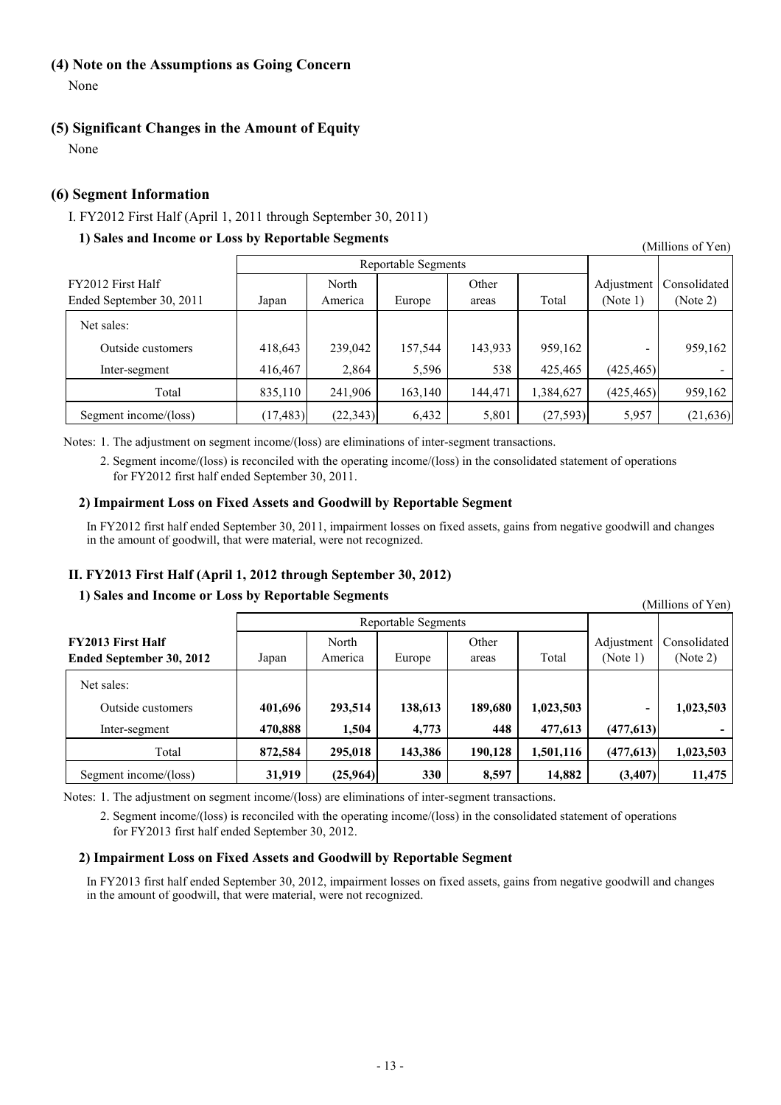# **(4) Note on the Assumptions as Going Concern**

None

# **(5) Significant Changes in the Amount of Equity**

None

# **(6) Segment Information**

## I. FY2012 First Half (April 1, 2011 through September 30, 2011)

# **1) Sales and Income or Loss by Reportable Segments**

Reportable Segments FY2012 First Half  $\qquad \qquad$  North Other Adjustment Consolidated Ended September 30, 2011 | Japan | America | Europe | areas | Total | (Note 1) | (Note 2) Net sales: Outside customers 1 418,643 239,042 157,544 143,933 959,162 - 959,162 Inter-segment 1416,467 2,864 5,596 538 425,465 (425,465) -Total 835,110 241,906 163,140 144,471 1,384,627 (425,465) 959,162 Segment income/(loss) (17,483) (22,343) 6,432 5,801 (27,593) 5,957 (21,636)

Notes: 1. The adjustment on segment income/(loss) are eliminations of inter-segment transactions.

2. Segment income/(loss) is reconciled with the operating income/(loss) in the consolidated statement of operations for FY2012 first half ended September 30, 2011.

### **2) Impairment Loss on Fixed Assets and Goodwill by Reportable Segment**

In FY2012 first half ended September 30, 2011, impairment losses on fixed assets, gains from negative goodwill and changes in the amount of goodwill, that were material, were not recognized.

# **II. FY2013 First Half (April 1, 2012 through September 30, 2012)**

### **1) Sales and Income or Loss by Reportable Segments**

Reportable Segments **FY2013 First Half North North Other Adjustment Consolidated Ended September 30, 2012** Japan America Europe areas Total (Note 1) (Note 2) Net sales: Outside customers **401,696 293,514 138,613 189,680 1,023,503 - 1,023,503** Inter-segment **470,888 1,504 4,773 448 477,613 (477,613) -** Total **872,584 295,018 143,386 190,128 1,501,116 (477,613) 1,023,503** Segment income/(loss) **31,919** (25,964) 330 8,597 14,882 (3,407) 11,475

Notes: 1. The adjustment on segment income/(loss) are eliminations of inter-segment transactions.

2. Segment income/(loss) is reconciled with the operating income/(loss) in the consolidated statement of operations for FY2013 first half ended September 30, 2012.

### **2) Impairment Loss on Fixed Assets and Goodwill by Reportable Segment**

In FY2013 first half ended September 30, 2012, impairment losses on fixed assets, gains from negative goodwill and changes in the amount of goodwill, that were material, were not recognized.

(Millions of Yen)

(Millions of Yen)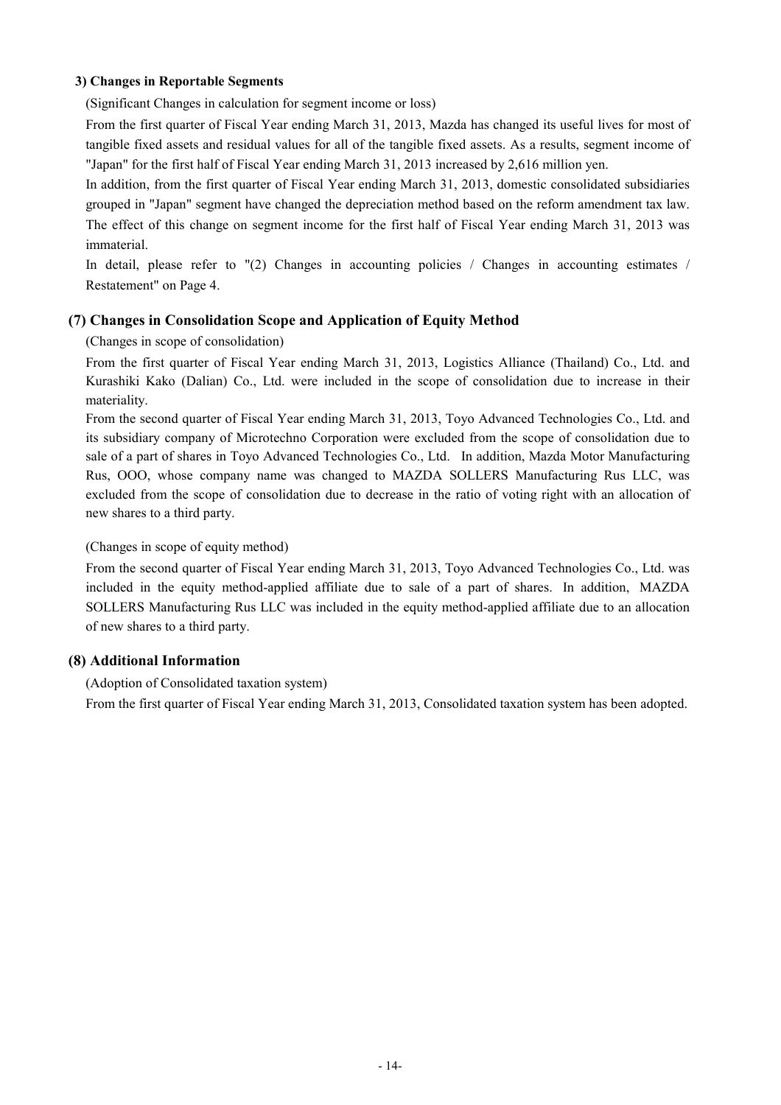### **3) Changes in Reportable Segments**

(Significant Changes in calculation for segment income or loss)

From the first quarter of Fiscal Year ending March 31, 2013, Mazda has changed its useful lives for most of tangible fixed assets and residual values for all of the tangible fixed assets. As a results, segment income of "Japan" for the first half of Fiscal Year ending March 31, 2013 increased by 2,616 million yen.

In addition, from the first quarter of Fiscal Year ending March 31, 2013, domestic consolidated subsidiaries grouped in "Japan" segment have changed the depreciation method based on the reform amendment tax law. The effect of this change on segment income for the first half of Fiscal Year ending March 31, 2013 was immaterial.

In detail, please refer to "(2) Changes in accounting policies / Changes in accounting estimates / Restatement" on Page 4.

# **(7) Changes in Consolidation Scope and Application of Equity Method**

### (Changes in scope of consolidation)

From the first quarter of Fiscal Year ending March 31, 2013, Logistics Alliance (Thailand) Co., Ltd. and Kurashiki Kako (Dalian) Co., Ltd. were included in the scope of consolidation due to increase in their materiality.

From the second quarter of Fiscal Year ending March 31, 2013, Toyo Advanced Technologies Co., Ltd. and its subsidiary company of Microtechno Corporation were excluded from the scope of consolidation due to sale of a part of shares in Toyo Advanced Technologies Co., Ltd. In addition, Mazda Motor Manufacturing Rus, OOO, whose company name was changed to MAZDA SOLLERS Manufacturing Rus LLC, was excluded from the scope of consolidation due to decrease in the ratio of voting right with an allocation of new shares to a third party.

### (Changes in scope of equity method)

From the second quarter of Fiscal Year ending March 31, 2013, Toyo Advanced Technologies Co., Ltd. was included in the equity method-applied affiliate due to sale of a part of shares. In addition, MAZDA SOLLERS Manufacturing Rus LLC was included in the equity method-applied affiliate due to an allocation of new shares to a third party.

# **(8) Additional Information**

(Adoption of Consolidated taxation system)

From the first quarter of Fiscal Year ending March 31, 2013, Consolidated taxation system has been adopted.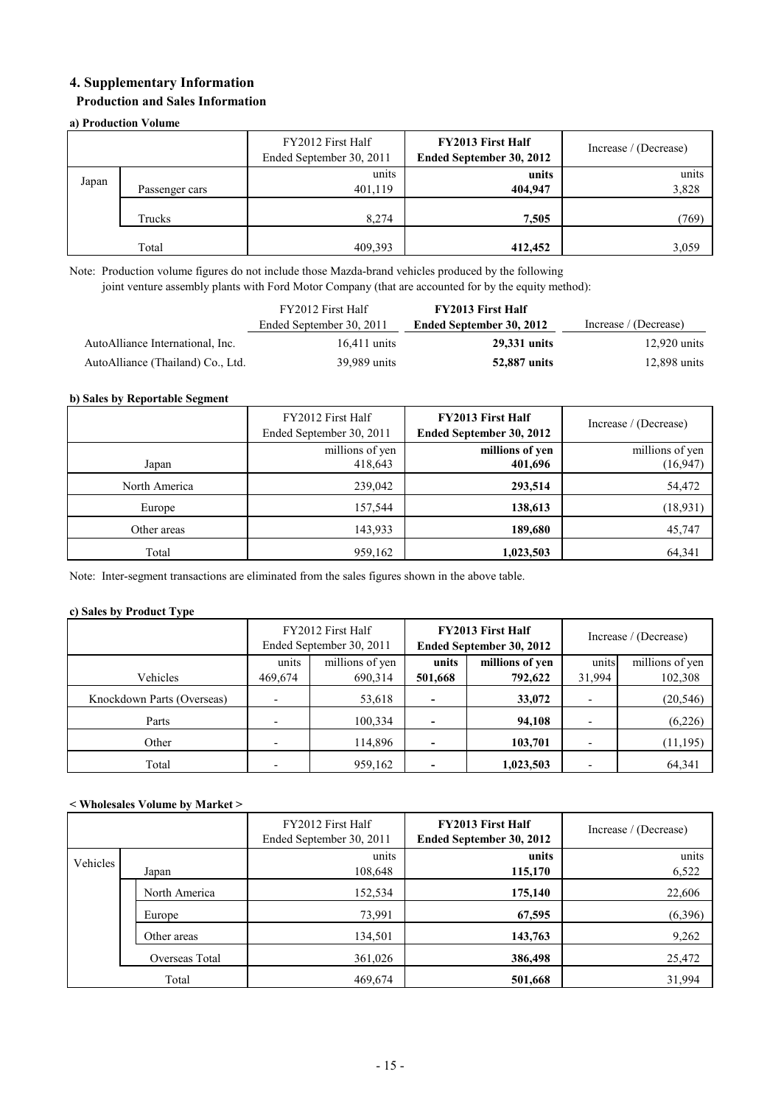# **4. Supplementary Information**

### **Production and Sales Information**

### **a) Production Volume**

|       |                | FY2012 First Half<br>Ended September 30, 2011 | <b>FY2013 First Half</b><br>Ended September 30, 2012 | Increase / (Decrease) |
|-------|----------------|-----------------------------------------------|------------------------------------------------------|-----------------------|
| Japan | Passenger cars | units<br>401,119                              | units<br>404,947                                     | units<br>3,828        |
|       | Trucks         | 8,274                                         | 7,505                                                | (769)                 |
|       | Total          | 409,393                                       | 412,452                                              | 3,059                 |

Note: Production volume figures do not include those Mazda-brand vehicles produced by the following joint venture assembly plants with Ford Motor Company (that are accounted for by the equity method):

|                                   | FY2012 First Half        | <b>FY2013 First Half</b> |                       |
|-----------------------------------|--------------------------|--------------------------|-----------------------|
|                                   | Ended September 30, 2011 | Ended September 30, 2012 | Increase / (Decrease) |
| AutoAlliance International, Inc.  | $16.411$ units           | 29.331 units             | $12,920$ units        |
| AutoAlliance (Thailand) Co., Ltd. | 39,989 units             | 52,887 units             | 12,898 units          |

### **b) Sales by Reportable Segment**

|               | FY2012 First Half<br>Ended September 30, 2011 | <b>FY2013 First Half</b><br>Ended September 30, 2012 | Increase / (Decrease) |
|---------------|-----------------------------------------------|------------------------------------------------------|-----------------------|
|               | millions of yen                               | millions of yen                                      | millions of yen       |
| Japan         | 418,643                                       | 401,696                                              | (16, 947)             |
| North America | 239,042                                       | 293,514                                              | 54,472                |
| Europe        | 157,544                                       | 138,613                                              | (18, 931)             |
| Other areas   | 143,933                                       | 189,680                                              | 45,747                |
| Total         | 959,162                                       | 1,023,503                                            | 64,341                |

Note: Inter-segment transactions are eliminated from the sales figures shown in the above table.

### **c) Sales by Product Type**

|                            |         | FY2012 First Half<br>Ended September 30, 2011 |         | <b>FY2013 First Half</b><br>Ended September 30, 2012 | Increase / (Decrease) |                 |  |
|----------------------------|---------|-----------------------------------------------|---------|------------------------------------------------------|-----------------------|-----------------|--|
|                            | units   | millions of yen                               | units   | millions of yen                                      | units                 | millions of yen |  |
| Vehicles                   | 469,674 | 690,314                                       | 501,668 | 792,622                                              | 31,994                | 102,308         |  |
| Knockdown Parts (Overseas) |         | 53,618                                        |         | 33,072                                               |                       | (20, 546)       |  |
| Parts                      |         | 100,334                                       |         | 94,108                                               |                       | (6,226)         |  |
| Other                      |         | 114,896                                       |         | 103,701                                              |                       | (11, 195)       |  |
| Total                      |         | 959,162                                       |         | 1,023,503                                            |                       | 64,341          |  |

### **< Wholesales Volume by Market >**

|          |                | FY2012 First Half<br>Ended September 30, 2011 | <b>FY2013 First Half</b><br>Ended September 30, 2012 | Increase / (Decrease) |
|----------|----------------|-----------------------------------------------|------------------------------------------------------|-----------------------|
| Vehicles |                | units                                         | units                                                | units                 |
|          | Japan          | 108,648                                       | 115,170                                              | 6,522                 |
|          | North America  | 152,534                                       | 175,140                                              | 22,606                |
|          | Europe         | 73,991                                        | 67,595                                               | (6,396)               |
|          | Other areas    | 134,501                                       | 143,763                                              | 9,262                 |
|          | Overseas Total | 361,026                                       | 386,498                                              | 25,472                |
|          | Total          | 469,674                                       | 501,668                                              | 31,994                |